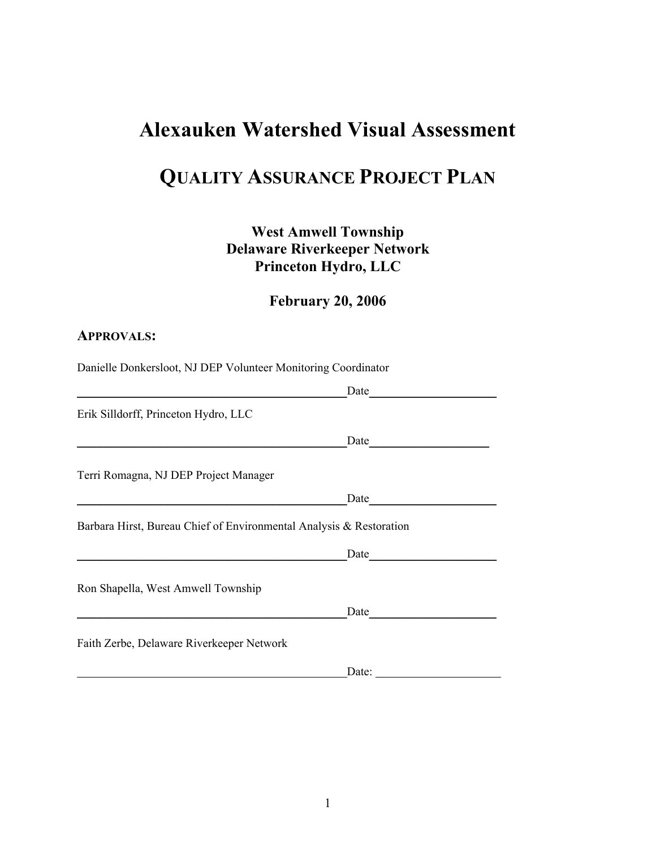# **Alexauken Watershed Visual Assessment**

# **QUALITY ASSURANCE PROJECT PLAN**

## **West Amwell Township Delaware Riverkeeper Network Princeton Hydro, LLC**

## **February 20, 2006**

#### **APPROVALS:**

Danielle Donkersloot, NJ DEP Volunteer Monitoring Coordinator

|                                                                     | Date                  |  |
|---------------------------------------------------------------------|-----------------------|--|
| Erik Silldorff, Princeton Hydro, LLC                                |                       |  |
|                                                                     | Date                  |  |
| Terri Romagna, NJ DEP Project Manager                               |                       |  |
|                                                                     | Date                  |  |
| Barbara Hirst, Bureau Chief of Environmental Analysis & Restoration |                       |  |
|                                                                     | Date                  |  |
| Ron Shapella, West Amwell Township                                  |                       |  |
|                                                                     | Date                  |  |
| Faith Zerbe, Delaware Riverkeeper Network                           |                       |  |
|                                                                     | Date: $\qquad \qquad$ |  |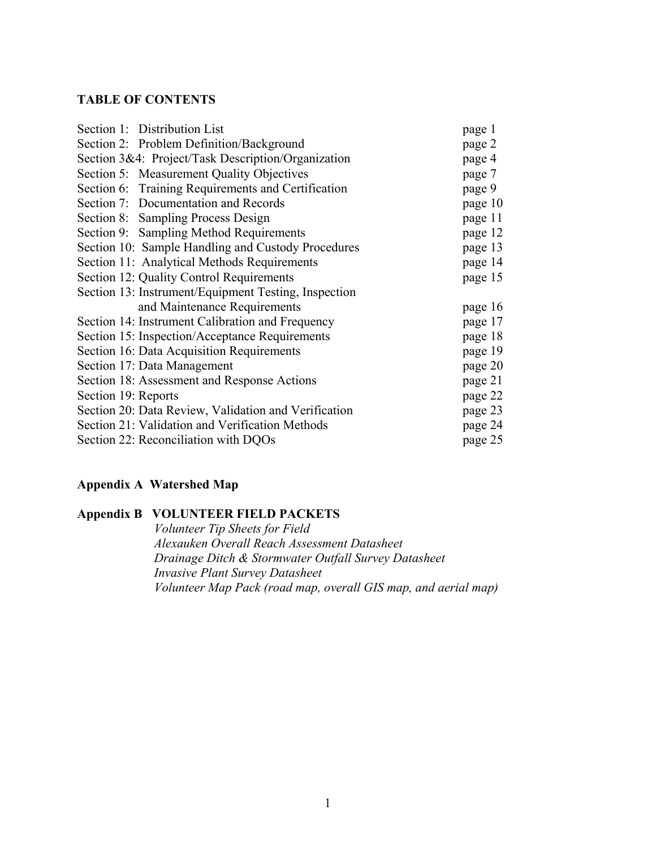#### **TABLE OF CONTENTS**

|                     | Section 1: Distribution List                         | page 1  |
|---------------------|------------------------------------------------------|---------|
|                     | Section 2: Problem Definition/Background             | page 2  |
|                     | Section 3&4: Project/Task Description/Organization   | page 4  |
|                     | Section 5: Measurement Quality Objectives            | page 7  |
|                     | Section 6: Training Requirements and Certification   | page 9  |
|                     | Section 7: Documentation and Records                 | page 10 |
|                     | Section 8: Sampling Process Design                   | page 11 |
|                     | Section 9: Sampling Method Requirements              | page 12 |
|                     | Section 10: Sample Handling and Custody Procedures   | page 13 |
|                     | Section 11: Analytical Methods Requirements          | page 14 |
|                     | Section 12: Quality Control Requirements             | page 15 |
|                     | Section 13: Instrument/Equipment Testing, Inspection |         |
|                     | and Maintenance Requirements                         | page 16 |
|                     | Section 14: Instrument Calibration and Frequency     | page 17 |
|                     | Section 15: Inspection/Acceptance Requirements       | page 18 |
|                     | Section 16: Data Acquisition Requirements            | page 19 |
|                     | Section 17: Data Management                          | page 20 |
|                     | Section 18: Assessment and Response Actions          | page 21 |
| Section 19: Reports |                                                      | page 22 |
|                     | Section 20: Data Review, Validation and Verification | page 23 |
|                     | Section 21: Validation and Verification Methods      | page 24 |
|                     | Section 22: Reconciliation with DQOs                 | page 25 |

#### **Appendix A Watershed Map**

#### **Appendix B VOLUNTEER FIELD PACKETS**

*Volunteer Tip Sheets for Field Alexauken Overall Reach Assessment Datasheet Drainage Ditch & Stormwater Outfall Survey Datasheet Invasive Plant Survey Datasheet Volunteer Map Pack (road map, overall GIS map, and aerial map)*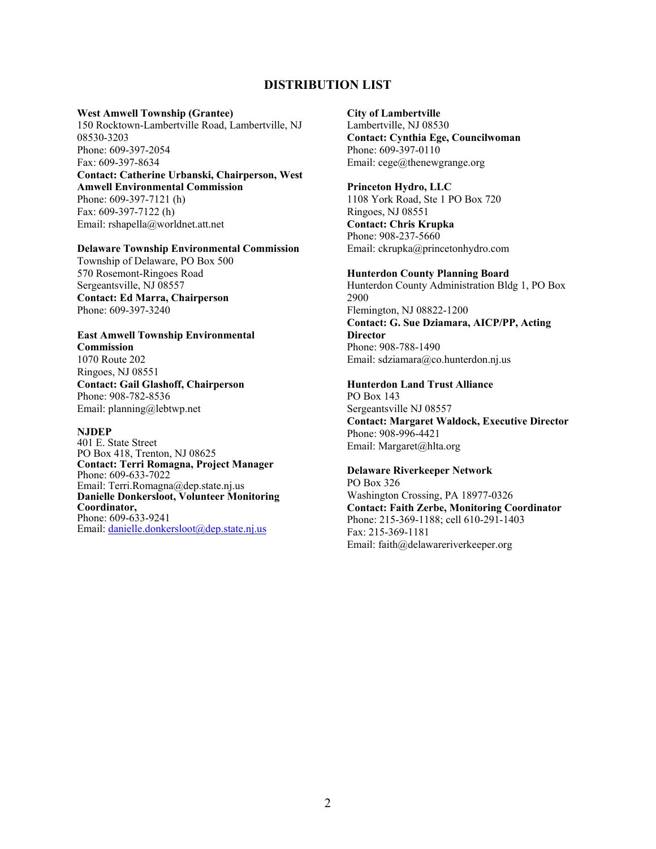#### **DISTRIBUTION LIST**

#### **West Amwell Township (Grantee)**

150 Rocktown-Lambertville Road, Lambertville, NJ 08530-3203 Phone: 609-397-2054 Fax: 609-397-8634

#### **Contact: Catherine Urbanski, Chairperson, West Amwell Environmental Commission**  Phone: 609-397-7121 (h)

Fax: 609-397-7122 (h) Email: rshapella@worldnet.att.net

#### **Delaware Township Environmental Commission**

Township of Delaware, PO Box 500 570 Rosemont-Ringoes Road Sergeantsville, NJ 08557 **Contact: Ed Marra, Chairperson**  Phone: 609-397-3240

## **East Amwell Township Environmental**

**Commission**  1070 Route 202 Ringoes, NJ 08551 **Contact: Gail Glashoff, Chairperson** Phone: 908-782-8536 Email: planning@lebtwp.net

#### **NJDEP**

401 E. State Street PO Box 418, Trenton, NJ 08625 **Contact: Terri Romagna, Project Manager**  Phone: 609-633-7022 Email: Terri.Romagna@dep.state.nj.us **Danielle Donkersloot, Volunteer Monitoring Coordinator,** Phone: 609-633-9241 Email: [danielle.donkersloot@dep.state.nj.us](mailto:danielle.donkersloot@dep.state.nj.us)

#### **City of Lambertville**

Lambertville, NJ 08530 **Contact: Cynthia Ege, Councilwoman**  Phone: 609-397-0110 Email: cege@thenewgrange.org

#### **Princeton Hydro, LLC**

1108 York Road, Ste 1 PO Box 720 Ringoes, NJ 08551 **Contact: Chris Krupka**  Phone: 908-237-5660 Email: ckrupka@princetonhydro.com

#### **Hunterdon County Planning Board**

Hunterdon County Administration Bldg 1, PO Box 2900 Flemington, NJ 08822-1200 **Contact: G. Sue Dziamara, AICP/PP, Acting Director**  Phone: 908-788-1490 Email: sdziamara@co.hunterdon.nj.us

#### **Hunterdon Land Trust Alliance**

PO Box 143 Sergeantsville NJ 08557 **Contact: Margaret Waldock, Executive Director**  Phone: 908-996-4421 Email: Margaret@hlta.org

#### **Delaware Riverkeeper Network**

PO Box 326 Washington Crossing, PA 18977-0326 **Contact: Faith Zerbe, Monitoring Coordinator**  Phone: 215-369-1188; cell 610-291-1403 Fax: 215-369-1181 Email: faith@delawareriverkeeper.org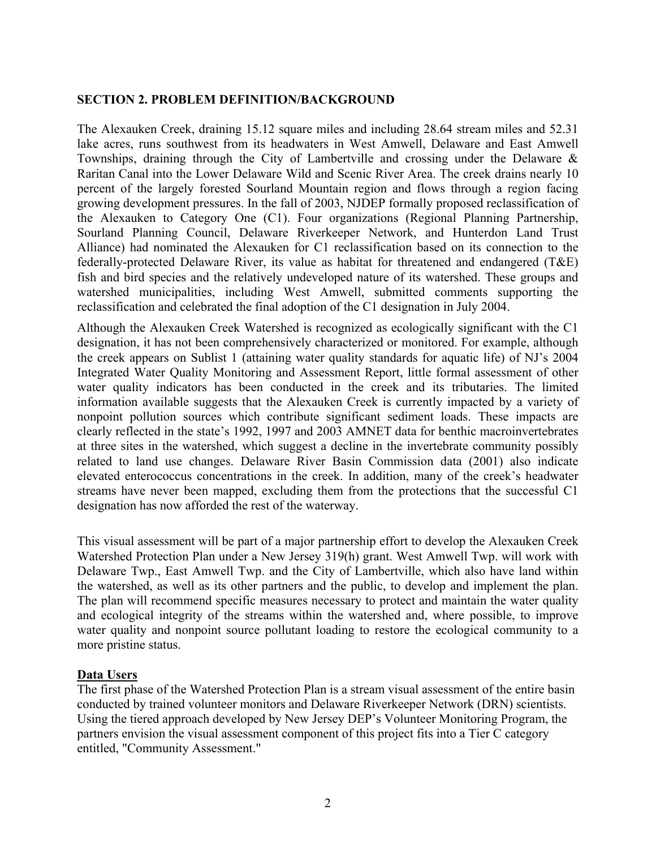#### **SECTION 2. PROBLEM DEFINITION/BACKGROUND**

The Alexauken Creek, draining 15.12 square miles and including 28.64 stream miles and 52.31 lake acres, runs southwest from its headwaters in West Amwell, Delaware and East Amwell Townships, draining through the City of Lambertville and crossing under the Delaware & Raritan Canal into the Lower Delaware Wild and Scenic River Area. The creek drains nearly 10 percent of the largely forested Sourland Mountain region and flows through a region facing growing development pressures. In the fall of 2003, NJDEP formally proposed reclassification of the Alexauken to Category One (C1). Four organizations (Regional Planning Partnership, Sourland Planning Council, Delaware Riverkeeper Network, and Hunterdon Land Trust Alliance) had nominated the Alexauken for C1 reclassification based on its connection to the federally-protected Delaware River, its value as habitat for threatened and endangered (T&E) fish and bird species and the relatively undeveloped nature of its watershed. These groups and watershed municipalities, including West Amwell, submitted comments supporting the reclassification and celebrated the final adoption of the C1 designation in July 2004.

Although the Alexauken Creek Watershed is recognized as ecologically significant with the C1 designation, it has not been comprehensively characterized or monitored. For example, although the creek appears on Sublist 1 (attaining water quality standards for aquatic life) of NJ's 2004 Integrated Water Quality Monitoring and Assessment Report, little formal assessment of other water quality indicators has been conducted in the creek and its tributaries. The limited information available suggests that the Alexauken Creek is currently impacted by a variety of nonpoint pollution sources which contribute significant sediment loads. These impacts are clearly reflected in the state's 1992, 1997 and 2003 AMNET data for benthic macroinvertebrates at three sites in the watershed, which suggest a decline in the invertebrate community possibly related to land use changes. Delaware River Basin Commission data (2001) also indicate elevated enterococcus concentrations in the creek. In addition, many of the creek's headwater streams have never been mapped, excluding them from the protections that the successful C1 designation has now afforded the rest of the waterway.

This visual assessment will be part of a major partnership effort to develop the Alexauken Creek Watershed Protection Plan under a New Jersey 319(h) grant. West Amwell Twp. will work with Delaware Twp., East Amwell Twp. and the City of Lambertville, which also have land within the watershed, as well as its other partners and the public, to develop and implement the plan. The plan will recommend specific measures necessary to protect and maintain the water quality and ecological integrity of the streams within the watershed and, where possible, to improve water quality and nonpoint source pollutant loading to restore the ecological community to a more pristine status.

#### **Data Users**

The first phase of the Watershed Protection Plan is a stream visual assessment of the entire basin conducted by trained volunteer monitors and Delaware Riverkeeper Network (DRN) scientists. Using the tiered approach developed by New Jersey DEP's Volunteer Monitoring Program, the partners envision the visual assessment component of this project fits into a Tier C category entitled, "Community Assessment."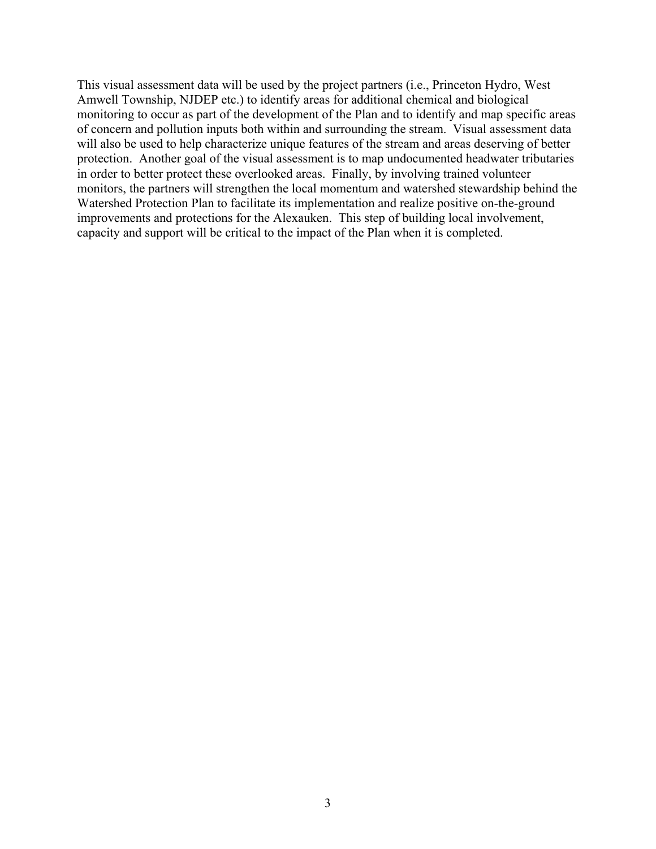This visual assessment data will be used by the project partners (i.e., Princeton Hydro, West Amwell Township, NJDEP etc.) to identify areas for additional chemical and biological monitoring to occur as part of the development of the Plan and to identify and map specific areas of concern and pollution inputs both within and surrounding the stream. Visual assessment data will also be used to help characterize unique features of the stream and areas deserving of better protection. Another goal of the visual assessment is to map undocumented headwater tributaries in order to better protect these overlooked areas. Finally, by involving trained volunteer monitors, the partners will strengthen the local momentum and watershed stewardship behind the Watershed Protection Plan to facilitate its implementation and realize positive on-the-ground improvements and protections for the Alexauken. This step of building local involvement, capacity and support will be critical to the impact of the Plan when it is completed.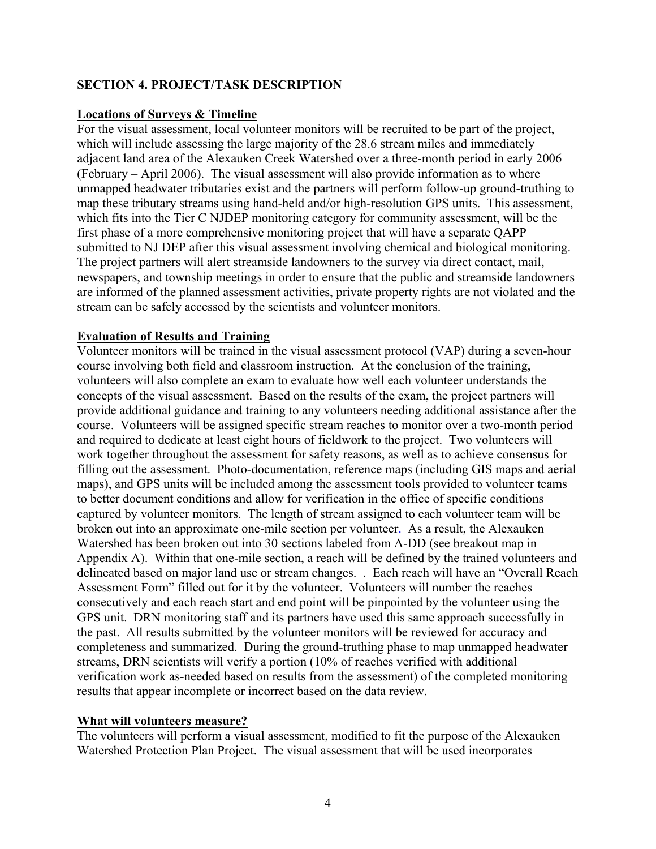#### **SECTION 4. PROJECT/TASK DESCRIPTION**

#### **Locations of Surveys & Timeline**

For the visual assessment, local volunteer monitors will be recruited to be part of the project, which will include assessing the large majority of the 28.6 stream miles and immediately adjacent land area of the Alexauken Creek Watershed over a three-month period in early 2006 (February – April 2006). The visual assessment will also provide information as to where unmapped headwater tributaries exist and the partners will perform follow-up ground-truthing to map these tributary streams using hand-held and/or high-resolution GPS units. This assessment, which fits into the Tier C NJDEP monitoring category for community assessment, will be the first phase of a more comprehensive monitoring project that will have a separate QAPP submitted to NJ DEP after this visual assessment involving chemical and biological monitoring. The project partners will alert streamside landowners to the survey via direct contact, mail, newspapers, and township meetings in order to ensure that the public and streamside landowners are informed of the planned assessment activities, private property rights are not violated and the stream can be safely accessed by the scientists and volunteer monitors.

#### **Evaluation of Results and Training**

Volunteer monitors will be trained in the visual assessment protocol (VAP) during a seven-hour course involving both field and classroom instruction. At the conclusion of the training, volunteers will also complete an exam to evaluate how well each volunteer understands the concepts of the visual assessment. Based on the results of the exam, the project partners will provide additional guidance and training to any volunteers needing additional assistance after the course. Volunteers will be assigned specific stream reaches to monitor over a two-month period and required to dedicate at least eight hours of fieldwork to the project. Two volunteers will work together throughout the assessment for safety reasons, as well as to achieve consensus for filling out the assessment. Photo-documentation, reference maps (including GIS maps and aerial maps), and GPS units will be included among the assessment tools provided to volunteer teams to better document conditions and allow for verification in the office of specific conditions captured by volunteer monitors. The length of stream assigned to each volunteer team will be broken out into an approximate one-mile section per volunteer. As a result, the Alexauken Watershed has been broken out into 30 sections labeled from A-DD (see breakout map in Appendix A). Within that one-mile section, a reach will be defined by the trained volunteers and delineated based on major land use or stream changes. . Each reach will have an "Overall Reach Assessment Form" filled out for it by the volunteer. Volunteers will number the reaches consecutively and each reach start and end point will be pinpointed by the volunteer using the GPS unit. DRN monitoring staff and its partners have used this same approach successfully in the past. All results submitted by the volunteer monitors will be reviewed for accuracy and completeness and summarized. During the ground-truthing phase to map unmapped headwater streams, DRN scientists will verify a portion (10% of reaches verified with additional verification work as-needed based on results from the assessment) of the completed monitoring results that appear incomplete or incorrect based on the data review.

#### **What will volunteers measure?**

The volunteers will perform a visual assessment, modified to fit the purpose of the Alexauken Watershed Protection Plan Project. The visual assessment that will be used incorporates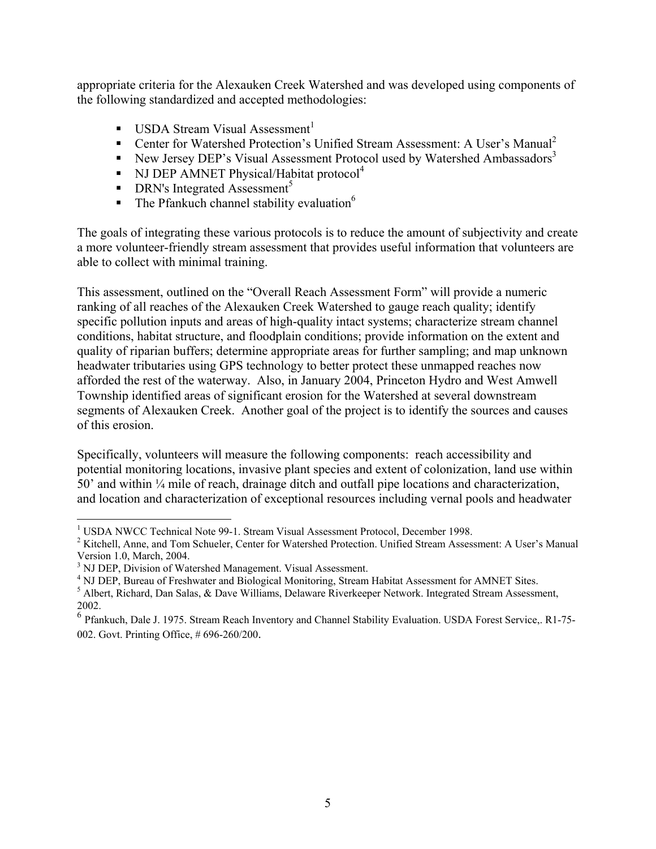appropriate criteria for the Alexauken Creek Watershed and was developed using components of the following standardized and accepted methodologies:

- **USDA Stream Visual Assessment**
- Center for Watershed Protection's Unified Stream Assessment: A User's Manual<sup>[2](#page-6-1)</sup>
- New Jersey DEP's Visual Assessment Protocol used by Watershed Ambassadors<sup>[3](#page-6-2)</sup>
- NJ DEP AMNET Physical/Habitat protocol<sup>[4](#page-6-3)</sup>
- $\blacksquare$  DRN's Integrated Assessment<sup>[5](#page-6-4)</sup>
- $\blacksquare$  The Pfankuch channel stability evaluation<sup>6</sup>

The goals of integrating these various protocols is to reduce the amount of subjectivity and create a more volunteer-friendly stream assessment that provides useful information that volunteers are able to collect with minimal training.

This assessment, outlined on the "Overall Reach Assessment Form" will provide a numeric ranking of all reaches of the Alexauken Creek Watershed to gauge reach quality; identify specific pollution inputs and areas of high-quality intact systems; characterize stream channel conditions, habitat structure, and floodplain conditions; provide information on the extent and quality of riparian buffers; determine appropriate areas for further sampling; and map unknown headwater tributaries using GPS technology to better protect these unmapped reaches now afforded the rest of the waterway. Also, in January 2004, Princeton Hydro and West Amwell Township identified areas of significant erosion for the Watershed at several downstream segments of Alexauken Creek. Another goal of the project is to identify the sources and causes of this erosion.

Specifically, volunteers will measure the following components: reach accessibility and potential monitoring locations, invasive plant species and extent of colonization, land use within 50' and within ¼ mile of reach, drainage ditch and outfall pipe locations and characterization, and location and characterization of exceptional resources including vernal pools and headwater

<span id="page-6-0"></span> $\overline{a}$ <sup>1</sup> USDA NWCC Technical Note 99-1. Stream Visual Assessment Protocol, December 1998.

<span id="page-6-1"></span><sup>&</sup>lt;sup>2</sup> Kitchell, Anne, and Tom Schueler, Center for Watershed Protection. Unified Stream Assessment: A User's Manual Version 1.0, March, 2004.

<span id="page-6-2"></span><sup>&</sup>lt;sup>3</sup> NJ DEP, Division of Watershed Management. Visual Assessment.

<span id="page-6-3"></span><sup>&</sup>lt;sup>4</sup> NJ DEP, Bureau of Freshwater and Biological Monitoring, Stream Habitat Assessment for AMNET Sites.

<span id="page-6-4"></span><sup>&</sup>lt;sup>5</sup> Albert, Richard, Dan Salas, & Dave Williams, Delaware Riverkeeper Network. Integrated Stream Assessment, 2002.

<span id="page-6-5"></span><sup>&</sup>lt;sup>6</sup> Pfankuch, Dale J. 1975. Stream Reach Inventory and Channel Stability Evaluation. USDA Forest Service,. R1-75-002. Govt. Printing Office, # 696-260/200.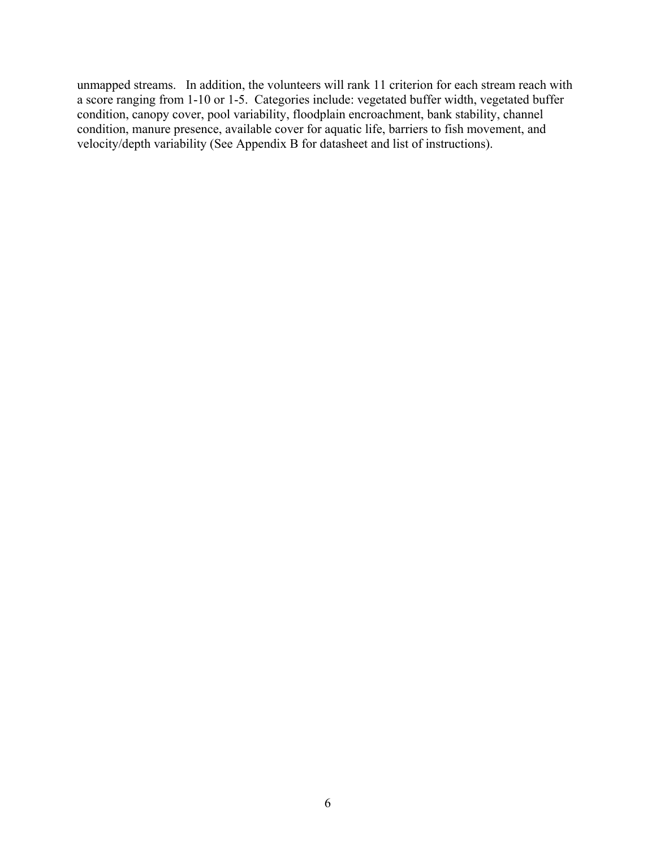unmapped streams. In addition, the volunteers will rank 11 criterion for each stream reach with a score ranging from 1-10 or 1-5. Categories include: vegetated buffer width, vegetated buffer condition, canopy cover, pool variability, floodplain encroachment, bank stability, channel condition, manure presence, available cover for aquatic life, barriers to fish movement, and velocity/depth variability (See Appendix B for datasheet and list of instructions).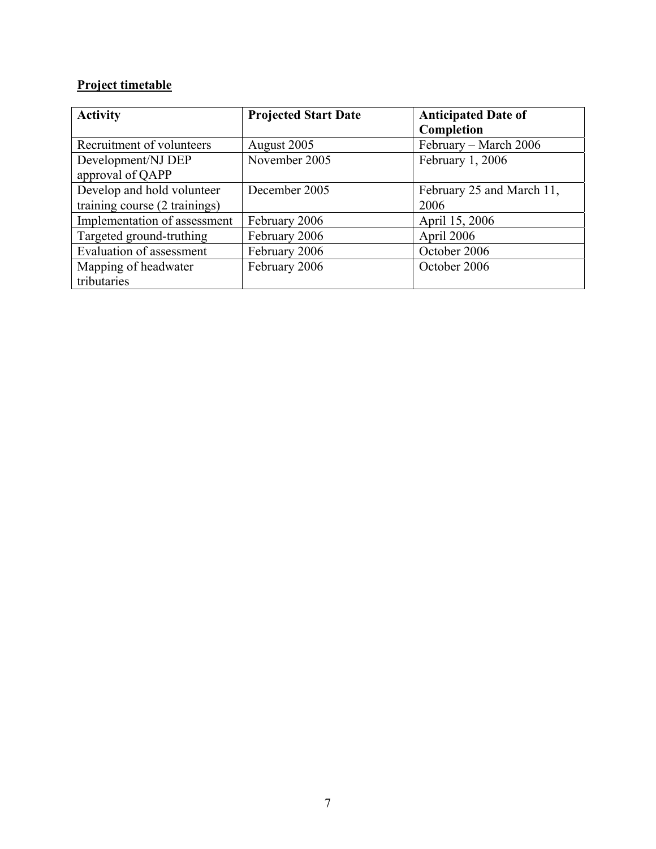## **Project timetable**

| <b>Activity</b>               | <b>Projected Start Date</b> | <b>Anticipated Date of</b> |
|-------------------------------|-----------------------------|----------------------------|
|                               |                             | Completion                 |
| Recruitment of volunteers     | August 2005                 | February - March 2006      |
| Development/NJ DEP            | November 2005               | February 1, 2006           |
| approval of QAPP              |                             |                            |
| Develop and hold volunteer    | December 2005               | February 25 and March 11,  |
| training course (2 trainings) |                             | 2006                       |
| Implementation of assessment  | February 2006               | April 15, 2006             |
| Targeted ground-truthing      | February 2006               | April 2006                 |
| Evaluation of assessment      | February 2006               | October 2006               |
| Mapping of headwater          | February 2006               | October 2006               |
| tributaries                   |                             |                            |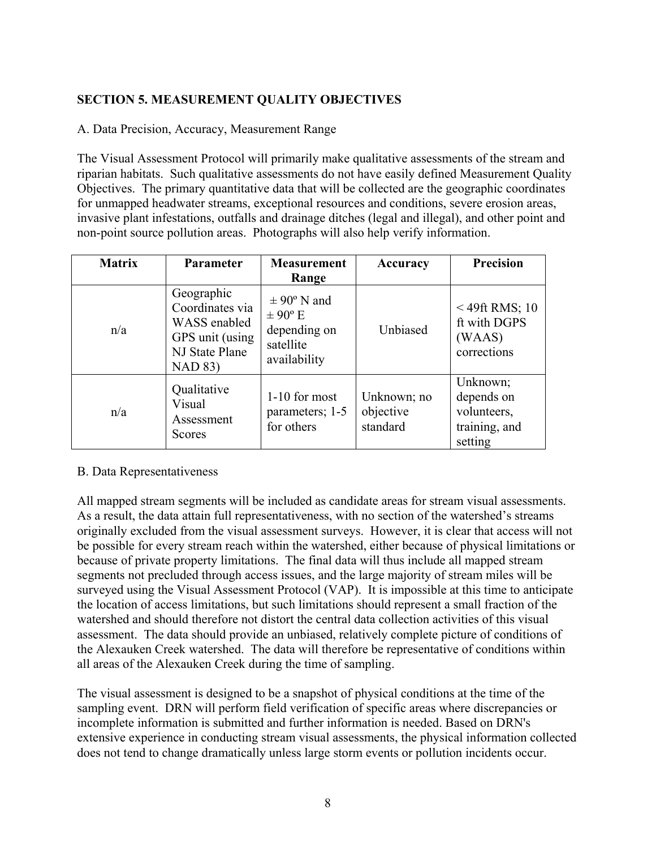## **SECTION 5. MEASUREMENT QUALITY OBJECTIVES**

A. Data Precision, Accuracy, Measurement Range

The Visual Assessment Protocol will primarily make qualitative assessments of the stream and riparian habitats. Such qualitative assessments do not have easily defined Measurement Quality Objectives. The primary quantitative data that will be collected are the geographic coordinates for unmapped headwater streams, exceptional resources and conditions, severe erosion areas, invasive plant infestations, outfalls and drainage ditches (legal and illegal), and other point and non-point source pollution areas. Photographs will also help verify information.

| <b>Matrix</b> | Parameter                                                                                            | <b>Measurement</b><br>Range                                                 | Accuracy                             | <b>Precision</b>                                                  |
|---------------|------------------------------------------------------------------------------------------------------|-----------------------------------------------------------------------------|--------------------------------------|-------------------------------------------------------------------|
| n/a           | Geographic<br>Coordinates via<br>WASS enabled<br>GPS unit (using<br>NJ State Plane<br><b>NAD 83)</b> | $\pm$ 90° N and<br>$\pm$ 90° E<br>depending on<br>satellite<br>availability | Unbiased                             | $<$ 49ft RMS; 10<br>ft with DGPS<br>(WAAS)<br>corrections         |
| n/a           | Qualitative<br>Visual<br>Assessment<br>Scores                                                        | 1-10 for most<br>parameters; 1-5<br>for others                              | Unknown; no<br>objective<br>standard | Unknown;<br>depends on<br>volunteers,<br>training, and<br>setting |

#### B. Data Representativeness

All mapped stream segments will be included as candidate areas for stream visual assessments. As a result, the data attain full representativeness, with no section of the watershed's streams originally excluded from the visual assessment surveys. However, it is clear that access will not be possible for every stream reach within the watershed, either because of physical limitations or because of private property limitations. The final data will thus include all mapped stream segments not precluded through access issues, and the large majority of stream miles will be surveyed using the Visual Assessment Protocol (VAP). It is impossible at this time to anticipate the location of access limitations, but such limitations should represent a small fraction of the watershed and should therefore not distort the central data collection activities of this visual assessment. The data should provide an unbiased, relatively complete picture of conditions of the Alexauken Creek watershed. The data will therefore be representative of conditions within all areas of the Alexauken Creek during the time of sampling.

The visual assessment is designed to be a snapshot of physical conditions at the time of the sampling event. DRN will perform field verification of specific areas where discrepancies or incomplete information is submitted and further information is needed. Based on DRN's extensive experience in conducting stream visual assessments, the physical information collected does not tend to change dramatically unless large storm events or pollution incidents occur.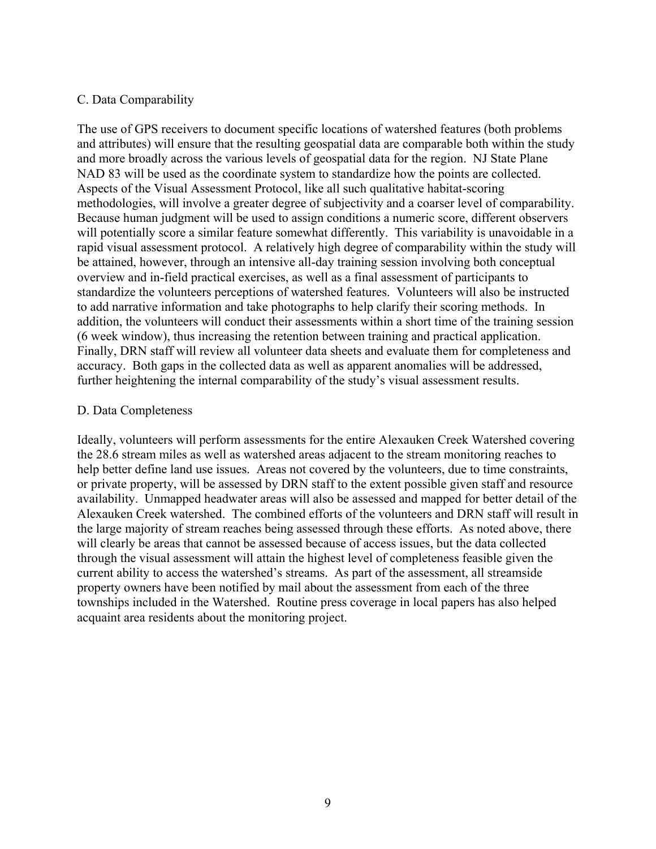#### C. Data Comparability

The use of GPS receivers to document specific locations of watershed features (both problems and attributes) will ensure that the resulting geospatial data are comparable both within the study and more broadly across the various levels of geospatial data for the region. NJ State Plane NAD 83 will be used as the coordinate system to standardize how the points are collected. Aspects of the Visual Assessment Protocol, like all such qualitative habitat-scoring methodologies, will involve a greater degree of subjectivity and a coarser level of comparability. Because human judgment will be used to assign conditions a numeric score, different observers will potentially score a similar feature somewhat differently. This variability is unavoidable in a rapid visual assessment protocol. A relatively high degree of comparability within the study will be attained, however, through an intensive all-day training session involving both conceptual overview and in-field practical exercises, as well as a final assessment of participants to standardize the volunteers perceptions of watershed features. Volunteers will also be instructed to add narrative information and take photographs to help clarify their scoring methods. In addition, the volunteers will conduct their assessments within a short time of the training session (6 week window), thus increasing the retention between training and practical application. Finally, DRN staff will review all volunteer data sheets and evaluate them for completeness and accuracy. Both gaps in the collected data as well as apparent anomalies will be addressed, further heightening the internal comparability of the study's visual assessment results.

#### D. Data Completeness

Ideally, volunteers will perform assessments for the entire Alexauken Creek Watershed covering the 28.6 stream miles as well as watershed areas adjacent to the stream monitoring reaches to help better define land use issues. Areas not covered by the volunteers, due to time constraints, or private property, will be assessed by DRN staff to the extent possible given staff and resource availability. Unmapped headwater areas will also be assessed and mapped for better detail of the Alexauken Creek watershed. The combined efforts of the volunteers and DRN staff will result in the large majority of stream reaches being assessed through these efforts. As noted above, there will clearly be areas that cannot be assessed because of access issues, but the data collected through the visual assessment will attain the highest level of completeness feasible given the current ability to access the watershed's streams. As part of the assessment, all streamside property owners have been notified by mail about the assessment from each of the three townships included in the Watershed. Routine press coverage in local papers has also helped acquaint area residents about the monitoring project.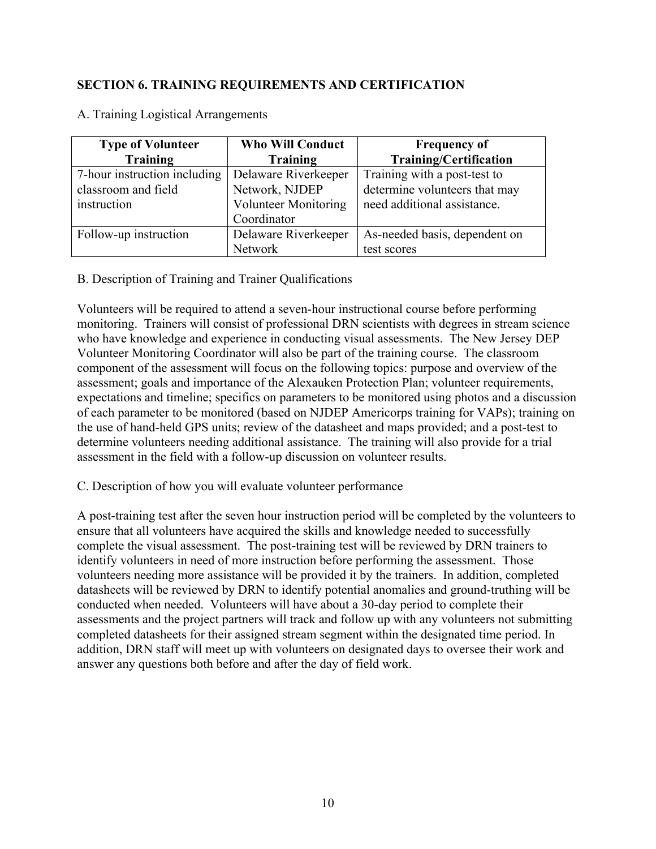#### **SECTION 6. TRAINING REQUIREMENTS AND CERTIFICATION**

| <b>Type of Volunteer</b>     | <b>Who Will Conduct</b>     | <b>Frequency of</b>           |
|------------------------------|-----------------------------|-------------------------------|
| <b>Training</b>              | Training                    | <b>Training/Certification</b> |
| 7-hour instruction including | Delaware Riverkeeper        | Training with a post-test to  |
| classroom and field          | Network, NJDEP              | determine volunteers that may |
| instruction                  | <b>Volunteer Monitoring</b> | need additional assistance.   |
|                              | Coordinator                 |                               |
| Follow-up instruction        | Delaware Riverkeeper        | As-needed basis, dependent on |
|                              | Network                     | test scores                   |

A. Training Logistical Arrangements

B. Description of Training and Trainer Qualifications

Volunteers will be required to attend a seven-hour instructional course before performing monitoring. Trainers will consist of professional DRN scientists with degrees in stream science who have knowledge and experience in conducting visual assessments. The New Jersey DEP Volunteer Monitoring Coordinator will also be part of the training course. The classroom component of the assessment will focus on the following topics: purpose and overview of the assessment; goals and importance of the Alexauken Protection Plan; volunteer requirements, expectations and timeline; specifics on parameters to be monitored using photos and a discussion of each parameter to be monitored (based on NJDEP Americorps training for VAPs); training on the use of hand-held GPS units; review of the datasheet and maps provided; and a post-test to determine volunteers needing additional assistance. The training will also provide for a trial assessment in the field with a follow-up discussion on volunteer results.

C. Description of how you will evaluate volunteer performance

A post-training test after the seven hour instruction period will be completed by the volunteers to ensure that all volunteers have acquired the skills and knowledge needed to successfully complete the visual assessment. The post-training test will be reviewed by DRN trainers to identify volunteers in need of more instruction before performing the assessment. Those volunteers needing more assistance will be provided it by the trainers. In addition, completed datasheets will be reviewed by DRN to identify potential anomalies and ground-truthing will be conducted when needed. Volunteers will have about a 30-day period to complete their assessments and the project partners will track and follow up with any volunteers not submitting completed datasheets for their assigned stream segment within the designated time period. In addition, DRN staff will meet up with volunteers on designated days to oversee their work and answer any questions both before and after the day of field work.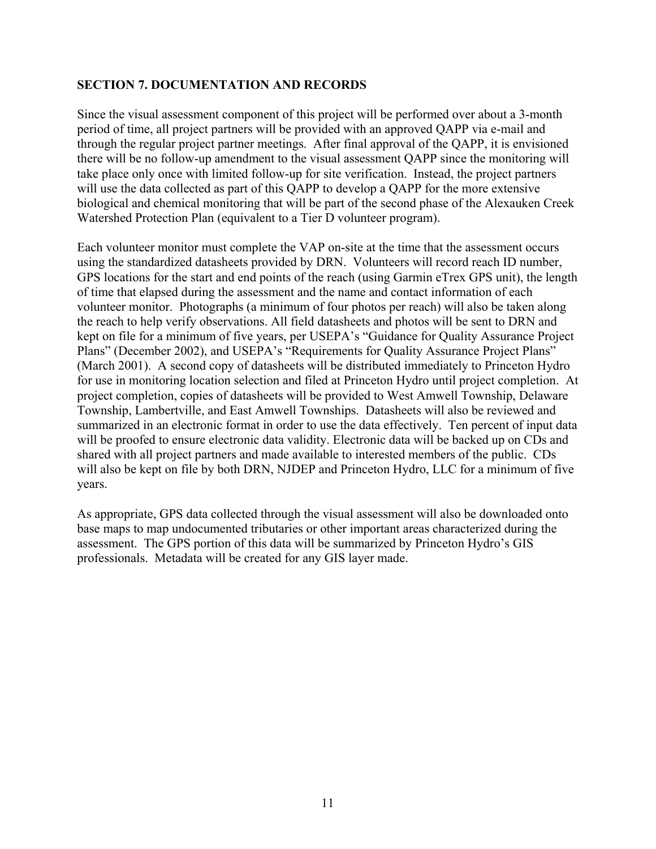#### **SECTION 7. DOCUMENTATION AND RECORDS**

Since the visual assessment component of this project will be performed over about a 3-month period of time, all project partners will be provided with an approved QAPP via e-mail and through the regular project partner meetings. After final approval of the QAPP, it is envisioned there will be no follow-up amendment to the visual assessment QAPP since the monitoring will take place only once with limited follow-up for site verification. Instead, the project partners will use the data collected as part of this QAPP to develop a QAPP for the more extensive biological and chemical monitoring that will be part of the second phase of the Alexauken Creek Watershed Protection Plan (equivalent to a Tier D volunteer program).

Each volunteer monitor must complete the VAP on-site at the time that the assessment occurs using the standardized datasheets provided by DRN. Volunteers will record reach ID number, GPS locations for the start and end points of the reach (using Garmin eTrex GPS unit), the length of time that elapsed during the assessment and the name and contact information of each volunteer monitor. Photographs (a minimum of four photos per reach) will also be taken along the reach to help verify observations. All field datasheets and photos will be sent to DRN and kept on file for a minimum of five years, per USEPA's "Guidance for Quality Assurance Project Plans" (December 2002), and USEPA's "Requirements for Quality Assurance Project Plans" (March 2001). A second copy of datasheets will be distributed immediately to Princeton Hydro for use in monitoring location selection and filed at Princeton Hydro until project completion. At project completion, copies of datasheets will be provided to West Amwell Township, Delaware Township, Lambertville, and East Amwell Townships. Datasheets will also be reviewed and summarized in an electronic format in order to use the data effectively. Ten percent of input data will be proofed to ensure electronic data validity. Electronic data will be backed up on CDs and shared with all project partners and made available to interested members of the public. CDs will also be kept on file by both DRN, NJDEP and Princeton Hydro, LLC for a minimum of five years.

As appropriate, GPS data collected through the visual assessment will also be downloaded onto base maps to map undocumented tributaries or other important areas characterized during the assessment. The GPS portion of this data will be summarized by Princeton Hydro's GIS professionals. Metadata will be created for any GIS layer made.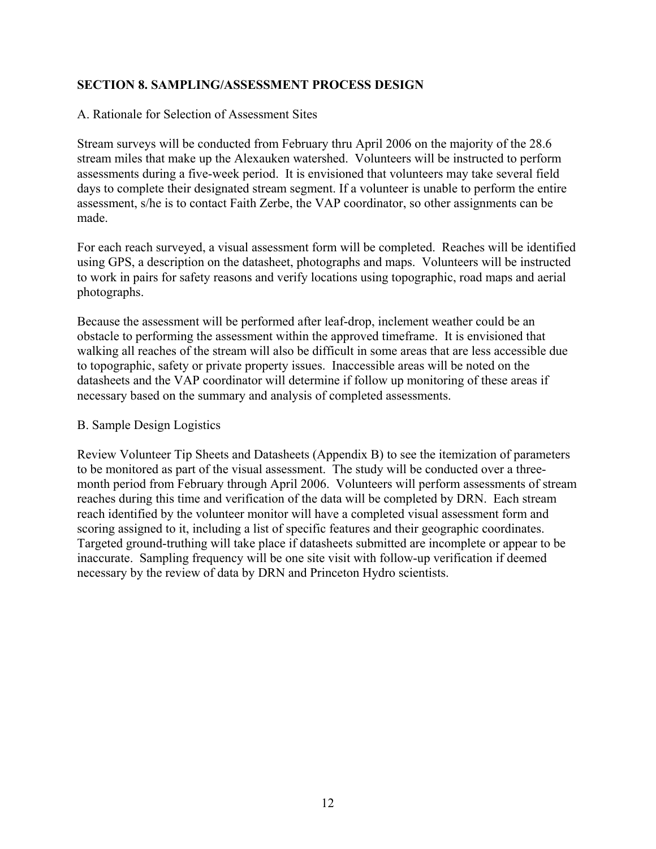#### **SECTION 8. SAMPLING/ASSESSMENT PROCESS DESIGN**

#### A. Rationale for Selection of Assessment Sites

Stream surveys will be conducted from February thru April 2006 on the majority of the 28.6 stream miles that make up the Alexauken watershed. Volunteers will be instructed to perform assessments during a five-week period. It is envisioned that volunteers may take several field days to complete their designated stream segment. If a volunteer is unable to perform the entire assessment, s/he is to contact Faith Zerbe, the VAP coordinator, so other assignments can be made.

For each reach surveyed, a visual assessment form will be completed. Reaches will be identified using GPS, a description on the datasheet, photographs and maps. Volunteers will be instructed to work in pairs for safety reasons and verify locations using topographic, road maps and aerial photographs.

Because the assessment will be performed after leaf-drop, inclement weather could be an obstacle to performing the assessment within the approved timeframe. It is envisioned that walking all reaches of the stream will also be difficult in some areas that are less accessible due to topographic, safety or private property issues. Inaccessible areas will be noted on the datasheets and the VAP coordinator will determine if follow up monitoring of these areas if necessary based on the summary and analysis of completed assessments.

#### B. Sample Design Logistics

Review Volunteer Tip Sheets and Datasheets (Appendix B) to see the itemization of parameters to be monitored as part of the visual assessment. The study will be conducted over a threemonth period from February through April 2006. Volunteers will perform assessments of stream reaches during this time and verification of the data will be completed by DRN. Each stream reach identified by the volunteer monitor will have a completed visual assessment form and scoring assigned to it, including a list of specific features and their geographic coordinates. Targeted ground-truthing will take place if datasheets submitted are incomplete or appear to be inaccurate. Sampling frequency will be one site visit with follow-up verification if deemed necessary by the review of data by DRN and Princeton Hydro scientists.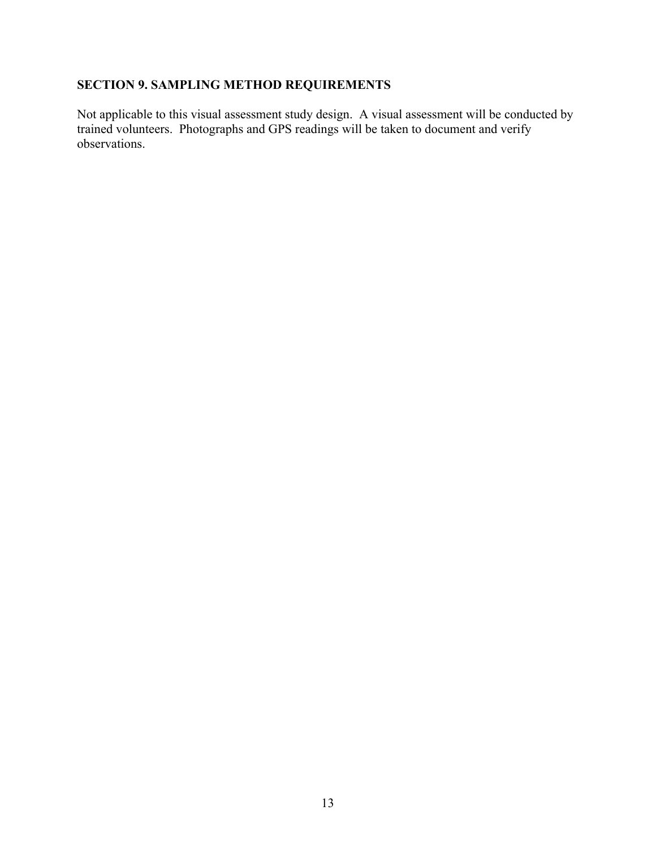## **SECTION 9. SAMPLING METHOD REQUIREMENTS**

Not applicable to this visual assessment study design. A visual assessment will be conducted by trained volunteers. Photographs and GPS readings will be taken to document and verify observations.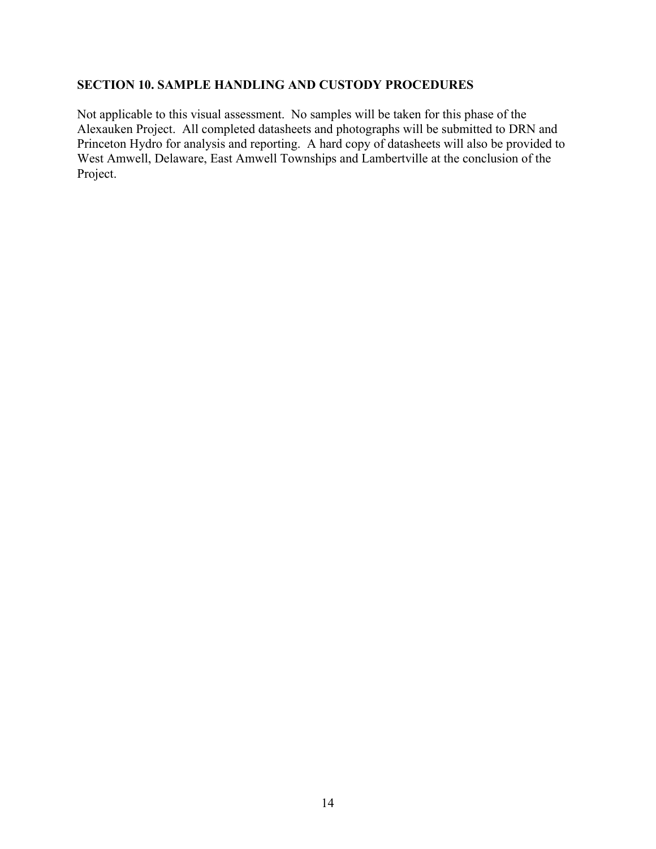#### **SECTION 10. SAMPLE HANDLING AND CUSTODY PROCEDURES**

Not applicable to this visual assessment. No samples will be taken for this phase of the Alexauken Project. All completed datasheets and photographs will be submitted to DRN and Princeton Hydro for analysis and reporting. A hard copy of datasheets will also be provided to West Amwell, Delaware, East Amwell Townships and Lambertville at the conclusion of the Project.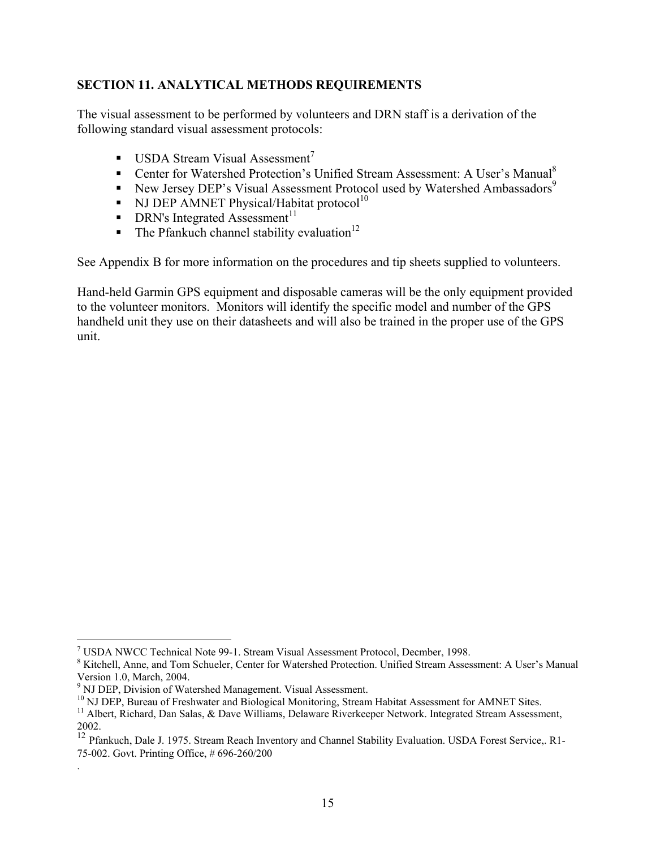#### **SECTION 11. ANALYTICAL METHODS REQUIREMENTS**

The visual assessment to be performed by volunteers and DRN staff is a derivation of the following standard visual assessment protocols:

- **USDA Stream Visual Assessment**<sup>[7](#page-16-0)</sup>
- Center for Watershed Protection's Unified Stream Assessment: A User's Manual<sup>[8](#page-16-1)</sup>
- New Jersey DEP's Visual Assessment Protocol used by Watershed Ambassadors<sup>[9](#page-16-2)</sup>
- NJ DEP AMNET Physical/Habitat protocol<sup>[10](#page-16-3)</sup>
- $\blacksquare$  DRN's Integrated Assessment<sup>11</sup>
- The Pfankuch channel stability evaluation<sup>12</sup>

See Appendix B for more information on the procedures and tip sheets supplied to volunteers.

Hand-held Garmin GPS equipment and disposable cameras will be the only equipment provided to the volunteer monitors. Monitors will identify the specific model and number of the GPS handheld unit they use on their datasheets and will also be trained in the proper use of the GPS unit.

<u>.</u>

.

<span id="page-16-0"></span>USDA NWCC Technical Note 99-1. Stream Visual Assessment Protocol, Decmber, 1998.

<span id="page-16-1"></span><sup>&</sup>lt;sup>8</sup> Kitchell, Anne, and Tom Schueler, Center for Watershed Protection. Unified Stream Assessment: A User's Manual Version 1.0, March, 2004.

<span id="page-16-3"></span><span id="page-16-2"></span>

<sup>&</sup>lt;sup>9</sup> NJ DEP, Division of Watershed Management. Visual Assessment.<br><sup>10</sup> NJ DEP, Bureau of Freshwater and Biological Monitoring, Stream Habitat Assessment for AMNET Sites.<br><sup>11</sup> Albert. Richard, Dan Salas. & Dave Williams, De

<span id="page-16-4"></span>

<span id="page-16-5"></span><sup>2002. 12</sup> Pfankuch, Dale J. 1975. Stream Reach Inventory and Channel Stability Evaluation. USDA Forest Service,. R1- 75-002. Govt. Printing Office, # 696-260/200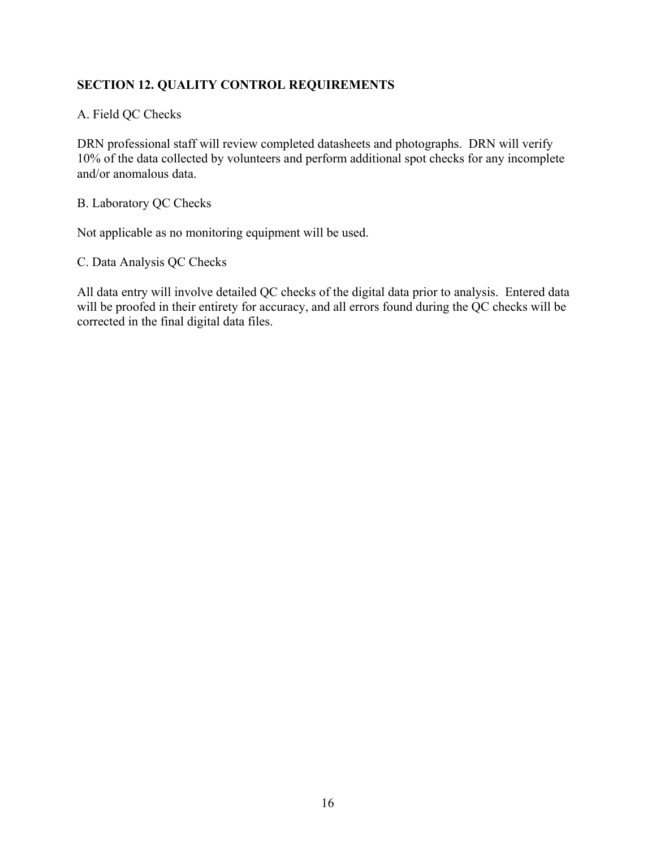## **SECTION 12. QUALITY CONTROL REQUIREMENTS**

A. Field QC Checks

DRN professional staff will review completed datasheets and photographs. DRN will verify 10% of the data collected by volunteers and perform additional spot checks for any incomplete and/or anomalous data.

B. Laboratory QC Checks

Not applicable as no monitoring equipment will be used.

C. Data Analysis QC Checks

All data entry will involve detailed QC checks of the digital data prior to analysis. Entered data will be proofed in their entirety for accuracy, and all errors found during the QC checks will be corrected in the final digital data files.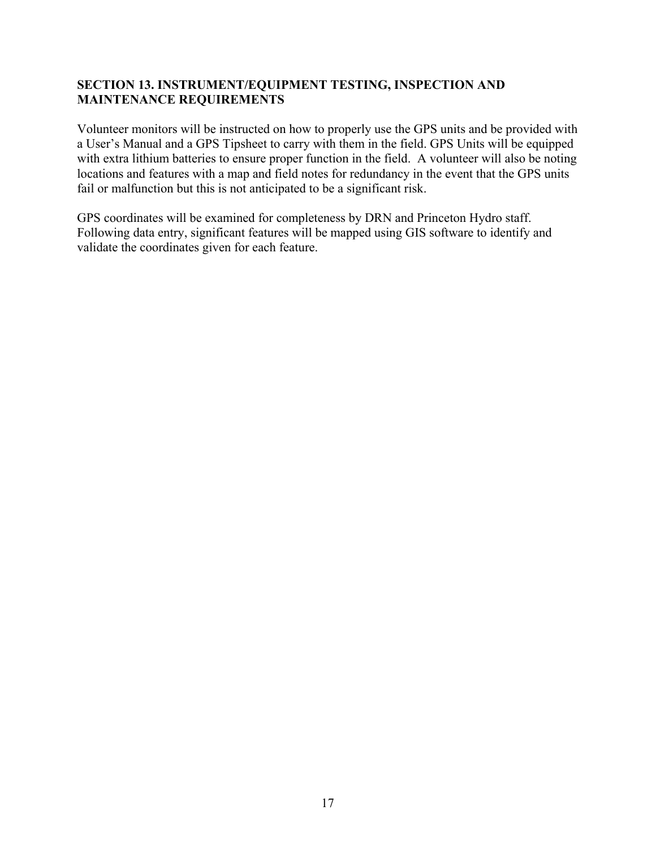#### **SECTION 13. INSTRUMENT/EQUIPMENT TESTING, INSPECTION AND MAINTENANCE REQUIREMENTS**

Volunteer monitors will be instructed on how to properly use the GPS units and be provided with a User's Manual and a GPS Tipsheet to carry with them in the field. GPS Units will be equipped with extra lithium batteries to ensure proper function in the field. A volunteer will also be noting locations and features with a map and field notes for redundancy in the event that the GPS units fail or malfunction but this is not anticipated to be a significant risk.

GPS coordinates will be examined for completeness by DRN and Princeton Hydro staff. Following data entry, significant features will be mapped using GIS software to identify and validate the coordinates given for each feature.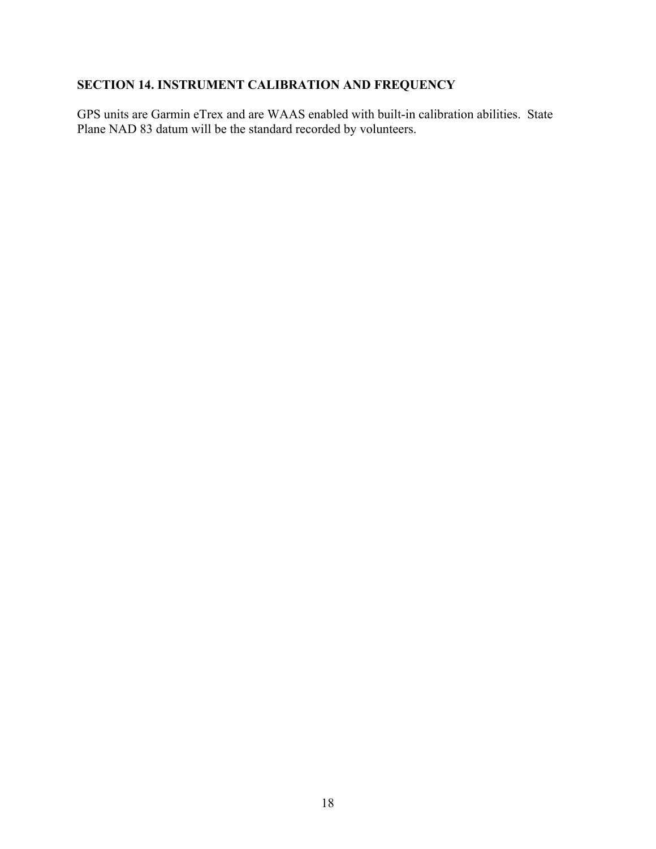## **SECTION 14. INSTRUMENT CALIBRATION AND FREQUENCY**

GPS units are Garmin eTrex and are WAAS enabled with built-in calibration abilities. State Plane NAD 83 datum will be the standard recorded by volunteers.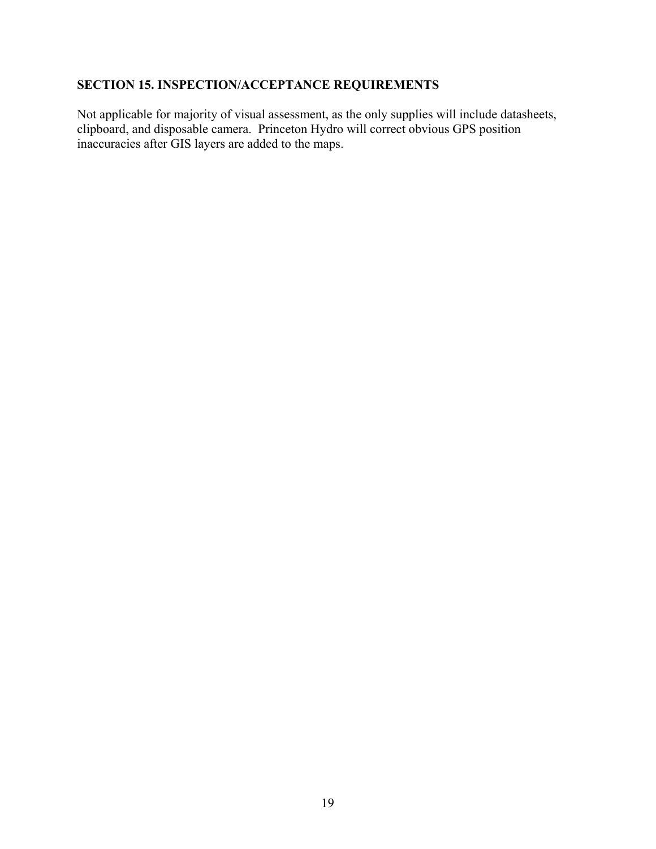## **SECTION 15. INSPECTION/ACCEPTANCE REQUIREMENTS**

Not applicable for majority of visual assessment, as the only supplies will include datasheets, clipboard, and disposable camera. Princeton Hydro will correct obvious GPS position inaccuracies after GIS layers are added to the maps.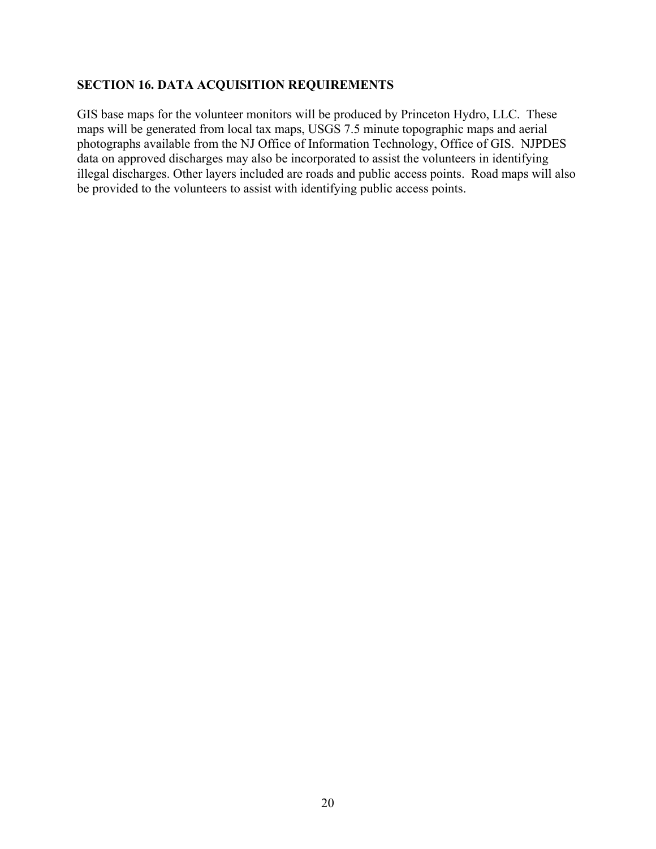## **SECTION 16. DATA ACQUISITION REQUIREMENTS**

GIS base maps for the volunteer monitors will be produced by Princeton Hydro, LLC. These maps will be generated from local tax maps, USGS 7.5 minute topographic maps and aerial photographs available from the NJ Office of Information Technology, Office of GIS. NJPDES data on approved discharges may also be incorporated to assist the volunteers in identifying illegal discharges. Other layers included are roads and public access points. Road maps will also be provided to the volunteers to assist with identifying public access points.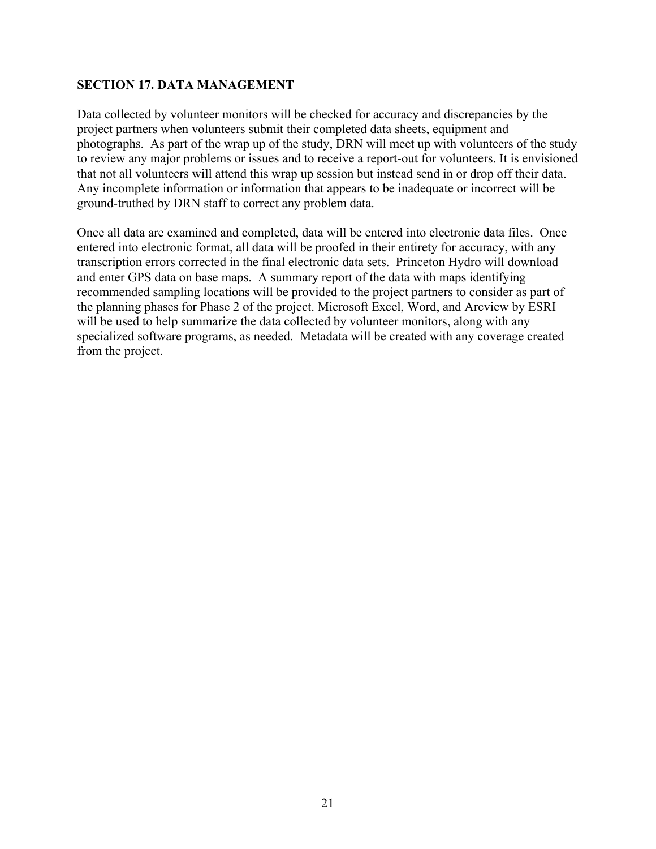#### **SECTION 17. DATA MANAGEMENT**

Data collected by volunteer monitors will be checked for accuracy and discrepancies by the project partners when volunteers submit their completed data sheets, equipment and photographs. As part of the wrap up of the study, DRN will meet up with volunteers of the study to review any major problems or issues and to receive a report-out for volunteers. It is envisioned that not all volunteers will attend this wrap up session but instead send in or drop off their data. Any incomplete information or information that appears to be inadequate or incorrect will be ground-truthed by DRN staff to correct any problem data.

Once all data are examined and completed, data will be entered into electronic data files. Once entered into electronic format, all data will be proofed in their entirety for accuracy, with any transcription errors corrected in the final electronic data sets. Princeton Hydro will download and enter GPS data on base maps. A summary report of the data with maps identifying recommended sampling locations will be provided to the project partners to consider as part of the planning phases for Phase 2 of the project. Microsoft Excel, Word, and Arcview by ESRI will be used to help summarize the data collected by volunteer monitors, along with any specialized software programs, as needed. Metadata will be created with any coverage created from the project.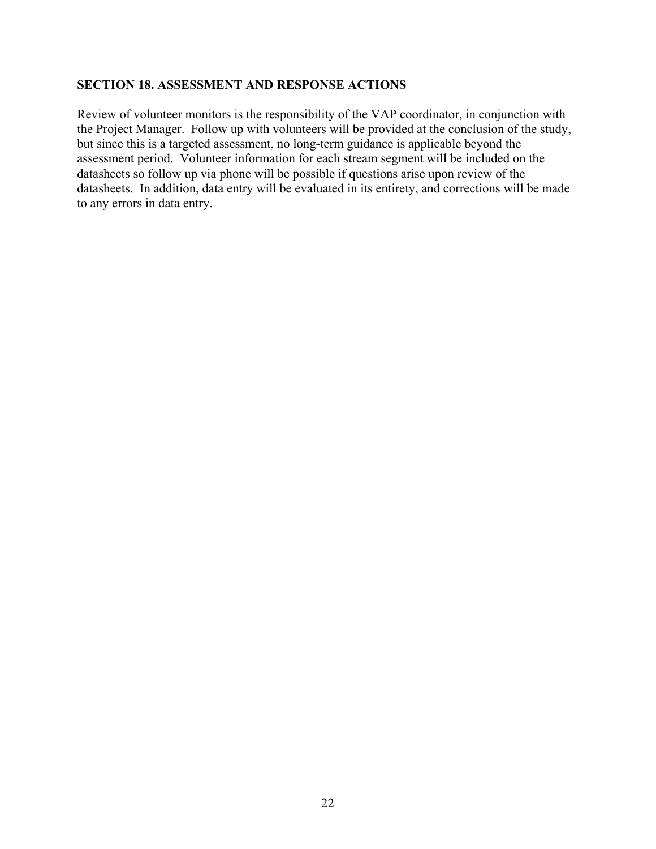#### **SECTION 18. ASSESSMENT AND RESPONSE ACTIONS**

Review of volunteer monitors is the responsibility of the VAP coordinator, in conjunction with the Project Manager. Follow up with volunteers will be provided at the conclusion of the study, but since this is a targeted assessment, no long-term guidance is applicable beyond the assessment period. Volunteer information for each stream segment will be included on the datasheets so follow up via phone will be possible if questions arise upon review of the datasheets. In addition, data entry will be evaluated in its entirety, and corrections will be made to any errors in data entry.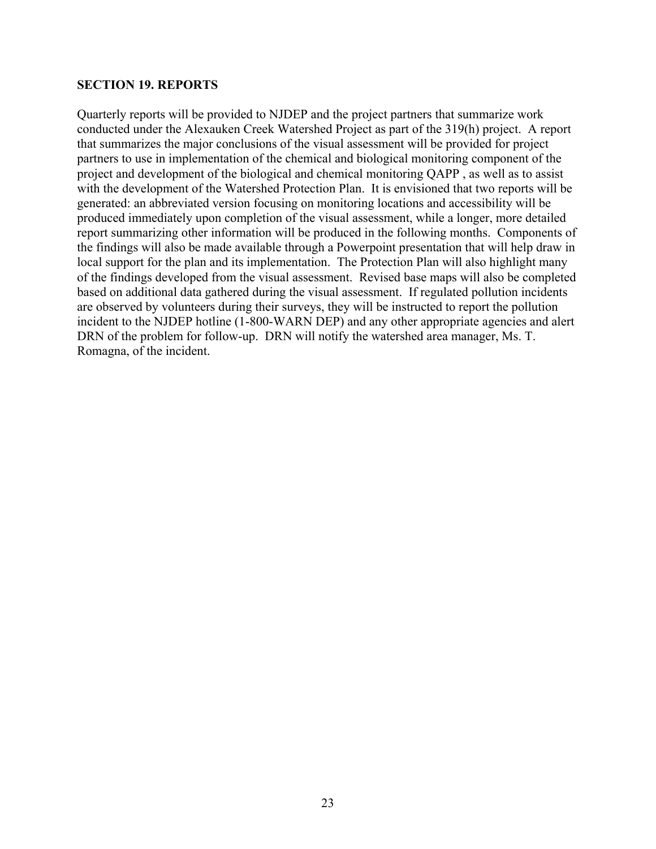#### **SECTION 19. REPORTS**

Quarterly reports will be provided to NJDEP and the project partners that summarize work conducted under the Alexauken Creek Watershed Project as part of the 319(h) project. A report that summarizes the major conclusions of the visual assessment will be provided for project partners to use in implementation of the chemical and biological monitoring component of the project and development of the biological and chemical monitoring QAPP , as well as to assist with the development of the Watershed Protection Plan. It is envisioned that two reports will be generated: an abbreviated version focusing on monitoring locations and accessibility will be produced immediately upon completion of the visual assessment, while a longer, more detailed report summarizing other information will be produced in the following months. Components of the findings will also be made available through a Powerpoint presentation that will help draw in local support for the plan and its implementation. The Protection Plan will also highlight many of the findings developed from the visual assessment. Revised base maps will also be completed based on additional data gathered during the visual assessment. If regulated pollution incidents are observed by volunteers during their surveys, they will be instructed to report the pollution incident to the NJDEP hotline (1-800-WARN DEP) and any other appropriate agencies and alert DRN of the problem for follow-up. DRN will notify the watershed area manager, Ms. T. Romagna, of the incident.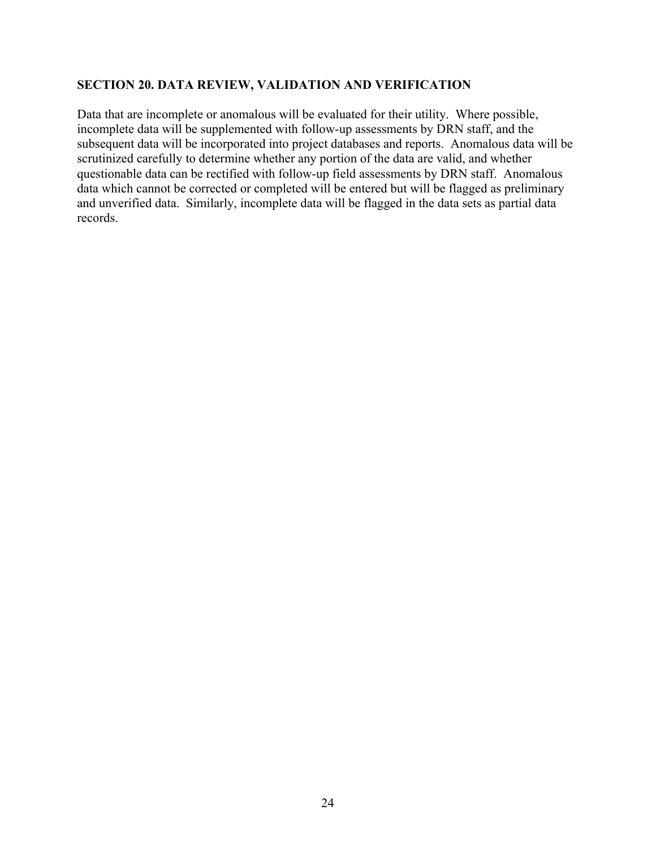#### **SECTION 20. DATA REVIEW, VALIDATION AND VERIFICATION**

Data that are incomplete or anomalous will be evaluated for their utility. Where possible, incomplete data will be supplemented with follow-up assessments by DRN staff, and the subsequent data will be incorporated into project databases and reports. Anomalous data will be scrutinized carefully to determine whether any portion of the data are valid, and whether questionable data can be rectified with follow-up field assessments by DRN staff. Anomalous data which cannot be corrected or completed will be entered but will be flagged as preliminary and unverified data. Similarly, incomplete data will be flagged in the data sets as partial data records.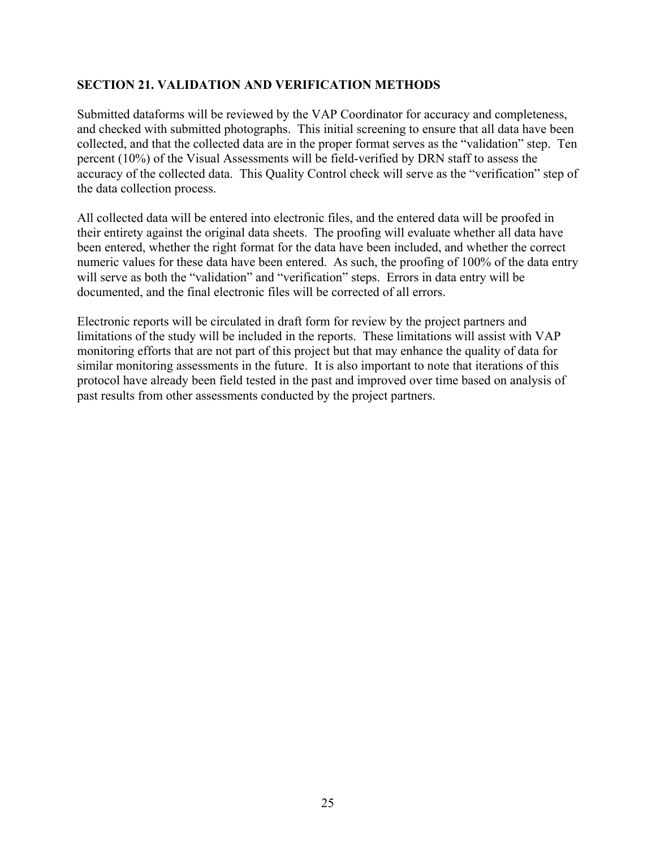#### **SECTION 21. VALIDATION AND VERIFICATION METHODS**

Submitted dataforms will be reviewed by the VAP Coordinator for accuracy and completeness, and checked with submitted photographs. This initial screening to ensure that all data have been collected, and that the collected data are in the proper format serves as the "validation" step. Ten percent (10%) of the Visual Assessments will be field-verified by DRN staff to assess the accuracy of the collected data. This Quality Control check will serve as the "verification" step of the data collection process.

All collected data will be entered into electronic files, and the entered data will be proofed in their entirety against the original data sheets. The proofing will evaluate whether all data have been entered, whether the right format for the data have been included, and whether the correct numeric values for these data have been entered. As such, the proofing of 100% of the data entry will serve as both the "validation" and "verification" steps. Errors in data entry will be documented, and the final electronic files will be corrected of all errors.

Electronic reports will be circulated in draft form for review by the project partners and limitations of the study will be included in the reports. These limitations will assist with VAP monitoring efforts that are not part of this project but that may enhance the quality of data for similar monitoring assessments in the future. It is also important to note that iterations of this protocol have already been field tested in the past and improved over time based on analysis of past results from other assessments conducted by the project partners.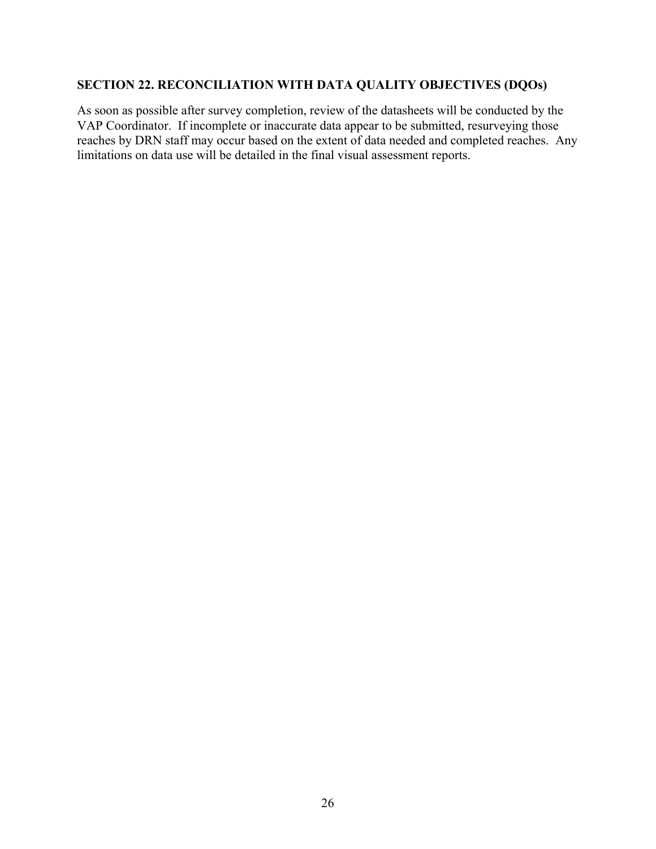## **SECTION 22. RECONCILIATION WITH DATA QUALITY OBJECTIVES (DQOs)**

As soon as possible after survey completion, review of the datasheets will be conducted by the VAP Coordinator. If incomplete or inaccurate data appear to be submitted, resurveying those reaches by DRN staff may occur based on the extent of data needed and completed reaches. Any limitations on data use will be detailed in the final visual assessment reports.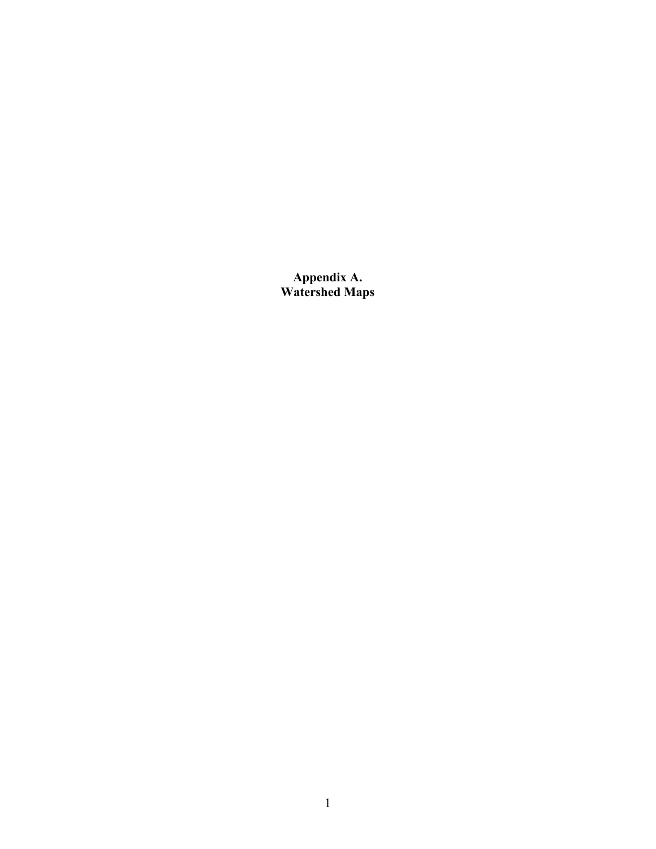**Appendix A. Watershed Maps**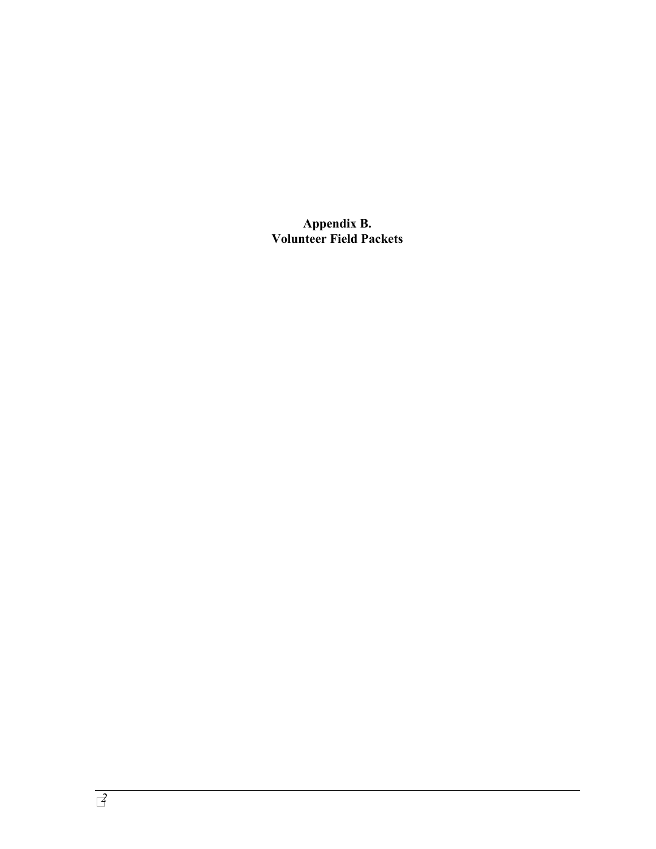**Appendix B. Volunteer Field Packets**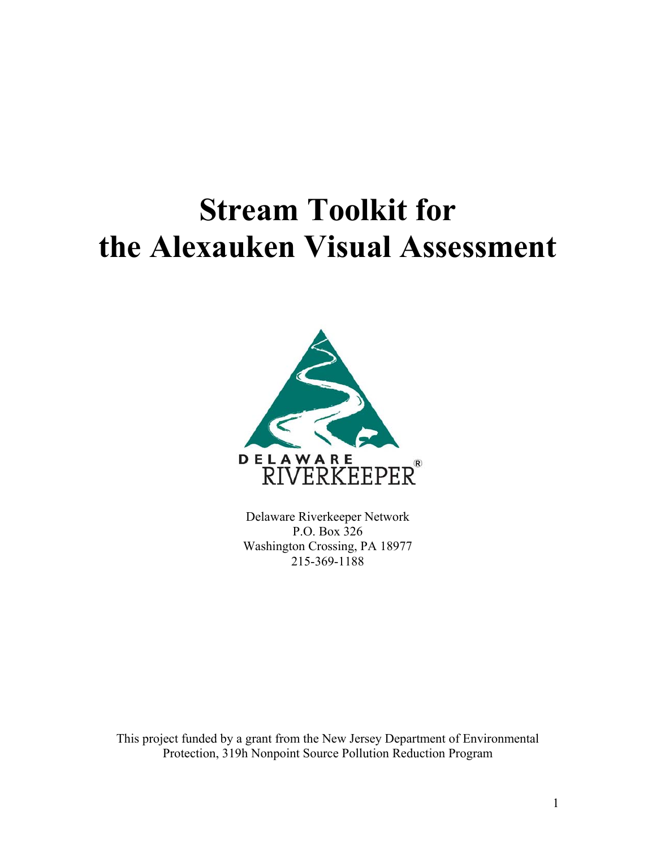# **Stream Toolkit for the Alexauken Visual Assessment**



Delaware Riverkeeper Network P.O. Box 326 Washington Crossing, PA 18977 215-369-1188

This project funded by a grant from the New Jersey Department of Environmental Protection, 319h Nonpoint Source Pollution Reduction Program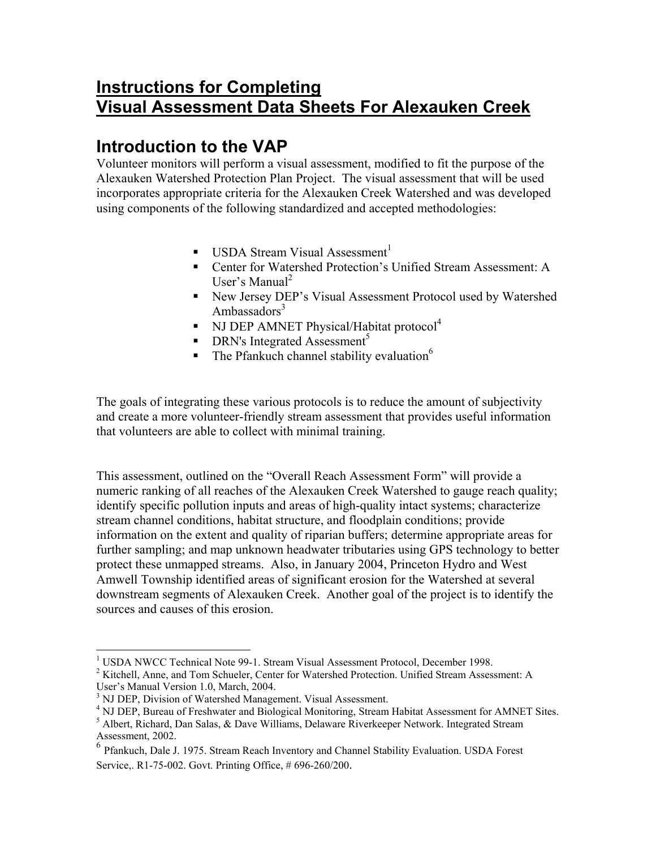# **Instructions for Completing Visual Assessment Data Sheets For Alexauken Creek**

# **Introduction to the VAP**

Volunteer monitors will perform a visual assessment, modified to fit the purpose of the Alexauken Watershed Protection Plan Project. The visual assessment that will be used incorporates appropriate criteria for the Alexauken Creek Watershed and was developed using components of the following standardized and accepted methodologies:

- **USDA Stream Visual Assessment**<sup>[1](#page-31-0)</sup>
- Center for Watershed Protection's Unified Stream Assessment: A User's Manual<sup>[2](#page-31-1)</sup>
- New Jersey DEP's Visual Assessment Protocol used by Watershed Ambassadors $3$
- NJ DEP AMNET Physical/Habitat protocol<sup>[4](#page-31-3)</sup>
- $\blacksquare$  DRN's Integrated Assessment<sup>[5](#page-31-4)</sup>
- $\blacksquare$  The Pfankuch channel stability evaluation<sup>6</sup>

The goals of integrating these various protocols is to reduce the amount of subjectivity and create a more volunteer-friendly stream assessment that provides useful information that volunteers are able to collect with minimal training.

This assessment, outlined on the "Overall Reach Assessment Form" will provide a numeric ranking of all reaches of the Alexauken Creek Watershed to gauge reach quality; identify specific pollution inputs and areas of high-quality intact systems; characterize stream channel conditions, habitat structure, and floodplain conditions; provide information on the extent and quality of riparian buffers; determine appropriate areas for further sampling; and map unknown headwater tributaries using GPS technology to better protect these unmapped streams. Also, in January 2004, Princeton Hydro and West Amwell Township identified areas of significant erosion for the Watershed at several downstream segments of Alexauken Creek. Another goal of the project is to identify the sources and causes of this erosion.

<span id="page-31-0"></span> $\overline{a}$ <sup>1</sup> USDA NWCC Technical Note 99-1. Stream Visual Assessment Protocol, December 1998.

<span id="page-31-1"></span><sup>&</sup>lt;sup>2</sup> Kitchell, Anne, and Tom Schueler, Center for Watershed Protection. Unified Stream Assessment: A User's Manual Version 1.0, March, 2004.

<span id="page-31-2"></span><sup>&</sup>lt;sup>3</sup> NJ DEP, Division of Watershed Management. Visual Assessment.

<span id="page-31-3"></span><sup>&</sup>lt;sup>4</sup> NJ DEP, Bureau of Freshwater and Biological Monitoring, Stream Habitat Assessment for AMNET Sites.

<span id="page-31-4"></span> $<sup>5</sup>$  Albert, Richard, Dan Salas, & Dave Williams, Delaware Riverkeeper Network. Integrated Stream</sup> Assessment, 2002.

<span id="page-31-5"></span><sup>6</sup> Pfankuch, Dale J. 1975. Stream Reach Inventory and Channel Stability Evaluation. USDA Forest Service,. R1-75-002. Govt. Printing Office, # 696-260/200.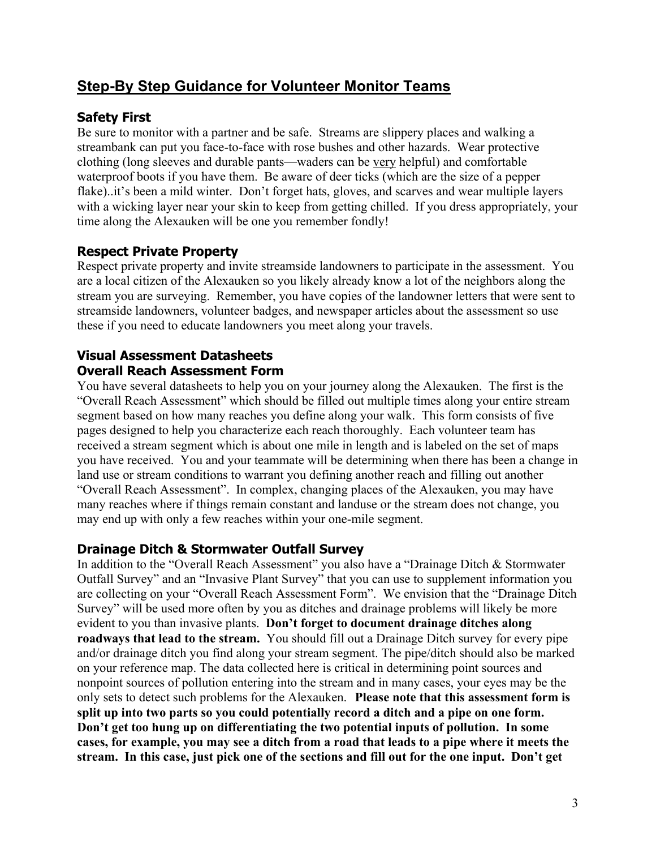## **Step-By Step Guidance for Volunteer Monitor Teams**

## **Safety First**

Be sure to monitor with a partner and be safe. Streams are slippery places and walking a streambank can put you face-to-face with rose bushes and other hazards. Wear protective clothing (long sleeves and durable pants—waders can be very helpful) and comfortable waterproof boots if you have them. Be aware of deer ticks (which are the size of a pepper flake)..it's been a mild winter. Don't forget hats, gloves, and scarves and wear multiple layers with a wicking layer near your skin to keep from getting chilled. If you dress appropriately, your time along the Alexauken will be one you remember fondly!

## **Respect Private Property**

Respect private property and invite streamside landowners to participate in the assessment. You are a local citizen of the Alexauken so you likely already know a lot of the neighbors along the stream you are surveying. Remember, you have copies of the landowner letters that were sent to streamside landowners, volunteer badges, and newspaper articles about the assessment so use these if you need to educate landowners you meet along your travels.

## **Visual Assessment Datasheets Overall Reach Assessment Form**

You have several datasheets to help you on your journey along the Alexauken. The first is the "Overall Reach Assessment" which should be filled out multiple times along your entire stream segment based on how many reaches you define along your walk. This form consists of five pages designed to help you characterize each reach thoroughly. Each volunteer team has received a stream segment which is about one mile in length and is labeled on the set of maps you have received. You and your teammate will be determining when there has been a change in land use or stream conditions to warrant you defining another reach and filling out another "Overall Reach Assessment". In complex, changing places of the Alexauken, you may have many reaches where if things remain constant and landuse or the stream does not change, you may end up with only a few reaches within your one-mile segment.

## **Drainage Ditch & Stormwater Outfall Survey**

In addition to the "Overall Reach Assessment" you also have a "Drainage Ditch & Stormwater Outfall Survey" and an "Invasive Plant Survey" that you can use to supplement information you are collecting on your "Overall Reach Assessment Form". We envision that the "Drainage Ditch Survey" will be used more often by you as ditches and drainage problems will likely be more evident to you than invasive plants. **Don't forget to document drainage ditches along roadways that lead to the stream.** You should fill out a Drainage Ditch survey for every pipe and/or drainage ditch you find along your stream segment. The pipe/ditch should also be marked on your reference map. The data collected here is critical in determining point sources and nonpoint sources of pollution entering into the stream and in many cases, your eyes may be the only sets to detect such problems for the Alexauken. **Please note that this assessment form is split up into two parts so you could potentially record a ditch and a pipe on one form. Don't get too hung up on differentiating the two potential inputs of pollution. In some cases, for example, you may see a ditch from a road that leads to a pipe where it meets the stream. In this case, just pick one of the sections and fill out for the one input. Don't get**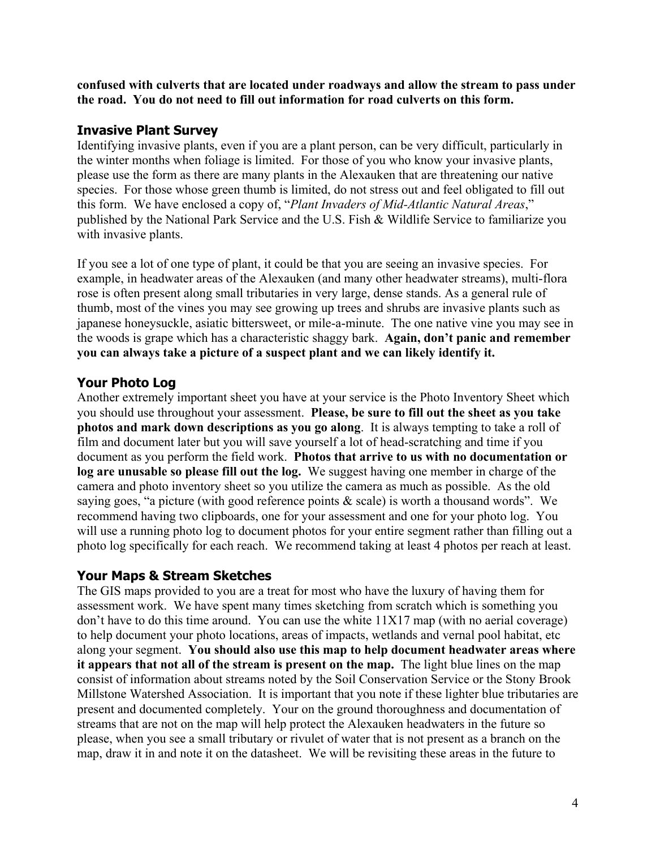**confused with culverts that are located under roadways and allow the stream to pass under the road. You do not need to fill out information for road culverts on this form.**

## **Invasive Plant Survey**

Identifying invasive plants, even if you are a plant person, can be very difficult, particularly in the winter months when foliage is limited. For those of you who know your invasive plants, please use the form as there are many plants in the Alexauken that are threatening our native species. For those whose green thumb is limited, do not stress out and feel obligated to fill out this form. We have enclosed a copy of, "*Plant Invaders of Mid-Atlantic Natural Areas*," published by the National Park Service and the U.S. Fish & Wildlife Service to familiarize you with invasive plants.

If you see a lot of one type of plant, it could be that you are seeing an invasive species. For example, in headwater areas of the Alexauken (and many other headwater streams), multi-flora rose is often present along small tributaries in very large, dense stands. As a general rule of thumb, most of the vines you may see growing up trees and shrubs are invasive plants such as japanese honeysuckle, asiatic bittersweet, or mile-a-minute. The one native vine you may see in the woods is grape which has a characteristic shaggy bark. **Again, don't panic and remember you can always take a picture of a suspect plant and we can likely identify it.** 

## **Your Photo Log**

Another extremely important sheet you have at your service is the Photo Inventory Sheet which you should use throughout your assessment. **Please, be sure to fill out the sheet as you take photos and mark down descriptions as you go along**. It is always tempting to take a roll of film and document later but you will save yourself a lot of head-scratching and time if you document as you perform the field work. **Photos that arrive to us with no documentation or log are unusable so please fill out the log.** We suggest having one member in charge of the camera and photo inventory sheet so you utilize the camera as much as possible. As the old saying goes, "a picture (with good reference points & scale) is worth a thousand words". We recommend having two clipboards, one for your assessment and one for your photo log. You will use a running photo log to document photos for your entire segment rather than filling out a photo log specifically for each reach. We recommend taking at least 4 photos per reach at least.

## **Your Maps & Stream Sketches**

The GIS maps provided to you are a treat for most who have the luxury of having them for assessment work. We have spent many times sketching from scratch which is something you don't have to do this time around. You can use the white 11X17 map (with no aerial coverage) to help document your photo locations, areas of impacts, wetlands and vernal pool habitat, etc along your segment. **You should also use this map to help document headwater areas where it appears that not all of the stream is present on the map.** The light blue lines on the map consist of information about streams noted by the Soil Conservation Service or the Stony Brook Millstone Watershed Association. It is important that you note if these lighter blue tributaries are present and documented completely. Your on the ground thoroughness and documentation of streams that are not on the map will help protect the Alexauken headwaters in the future so please, when you see a small tributary or rivulet of water that is not present as a branch on the map, draw it in and note it on the datasheet. We will be revisiting these areas in the future to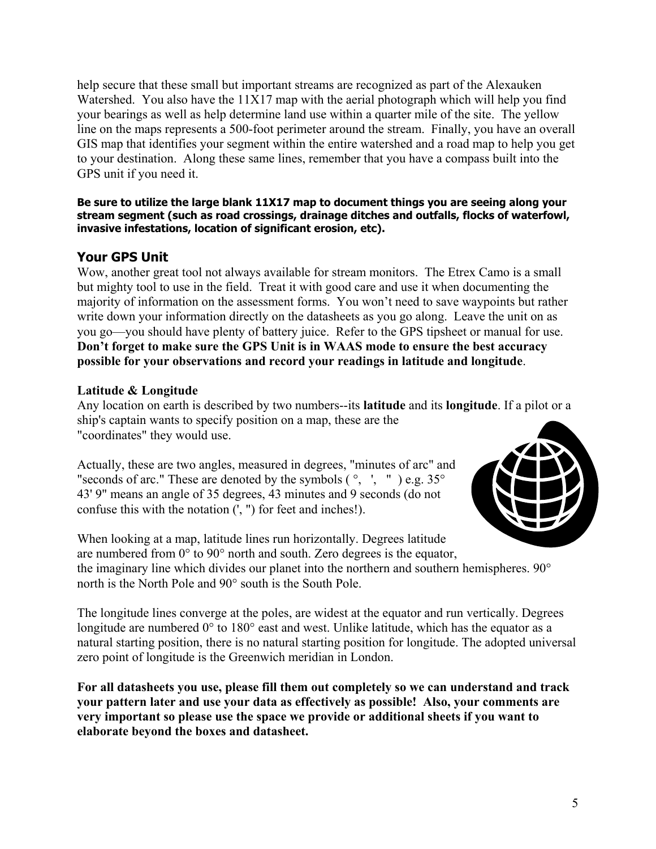help secure that these small but important streams are recognized as part of the Alexauken Watershed. You also have the 11X17 map with the aerial photograph which will help you find your bearings as well as help determine land use within a quarter mile of the site. The yellow line on the maps represents a 500-foot perimeter around the stream. Finally, you have an overall GIS map that identifies your segment within the entire watershed and a road map to help you get to your destination. Along these same lines, remember that you have a compass built into the GPS unit if you need it.

#### **Be sure to utilize the large blank 11X17 map to document things you are seeing along your stream segment (such as road crossings, drainage ditches and outfalls, flocks of waterfowl, invasive infestations, location of significant erosion, etc).**

## **Your GPS Unit**

Wow, another great tool not always available for stream monitors. The Etrex Camo is a small but mighty tool to use in the field. Treat it with good care and use it when documenting the majority of information on the assessment forms. You won't need to save waypoints but rather write down your information directly on the datasheets as you go along. Leave the unit on as you go—you should have plenty of battery juice. Refer to the GPS tipsheet or manual for use. **Don't forget to make sure the GPS Unit is in WAAS mode to ensure the best accuracy possible for your observations and record your readings in latitude and longitude**.

#### **Latitude & Longitude**

Any location on earth is described by two numbers--its **latitude** and its **longitude**. If a pilot or a ship's captain wants to specify position on a map, these are the "coordinates" they would use.

Actually, these are two angles, measured in degrees, "minutes of arc" and "seconds of arc." These are denoted by the symbols  $(\degree, \degree, \degree)$  e.g. 35 $\degree$ 43' 9" means an angle of 35 degrees, 43 minutes and 9 seconds (do not confuse this with the notation  $($ ',  $'$ ') for feet and inches!).



When looking at a map, latitude lines run horizontally. Degrees latitude are numbered from 0° to 90° north and south. Zero degrees is the equator, the imaginary line which divides our planet into the northern and southern hemispheres. 90° north is the North Pole and 90° south is the South Pole.

The longitude lines converge at the poles, are widest at the equator and run vertically. Degrees longitude are numbered 0° to 180° east and west. Unlike latitude, which has the equator as a natural starting position, there is no natural starting position for longitude. The adopted universal zero point of longitude is the Greenwich meridian in London.

**For all datasheets you use, please fill them out completely so we can understand and track your pattern later and use your data as effectively as possible! Also, your comments are very important so please use the space we provide or additional sheets if you want to elaborate beyond the boxes and datasheet.**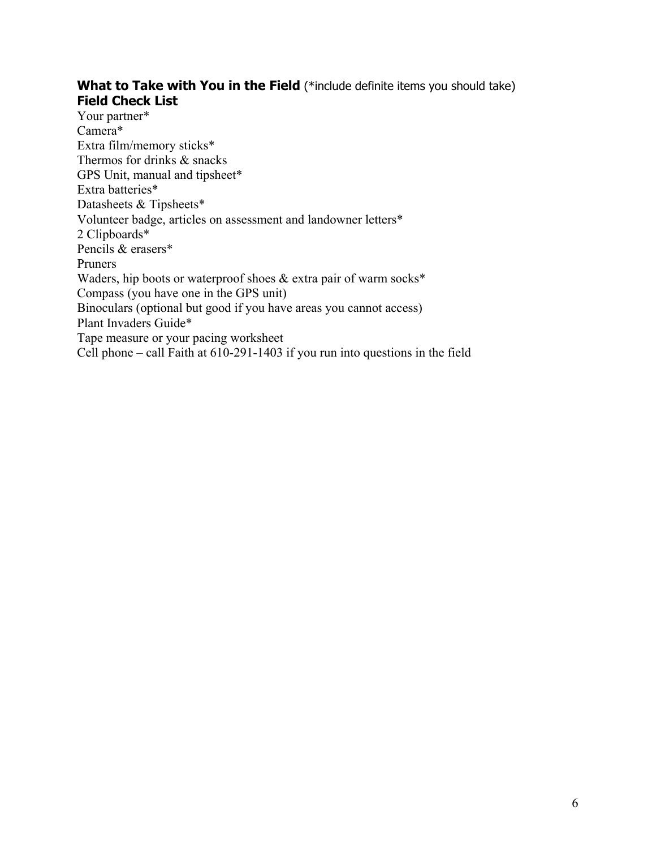### **What to Take with You in the Field** (\*include definite items you should take) **Field Check List**

Your partner\* Camera\* Extra film/memory sticks\* Thermos for drinks & snacks GPS Unit, manual and tipsheet\* Extra batteries\* Datasheets & Tipsheets\* Volunteer badge, articles on assessment and landowner letters\* 2 Clipboards\* Pencils & erasers\* Pruners Waders, hip boots or waterproof shoes & extra pair of warm socks\* Compass (you have one in the GPS unit) Binoculars (optional but good if you have areas you cannot access) Plant Invaders Guide\* Tape measure or your pacing worksheet Cell phone – call Faith at 610-291-1403 if you run into questions in the field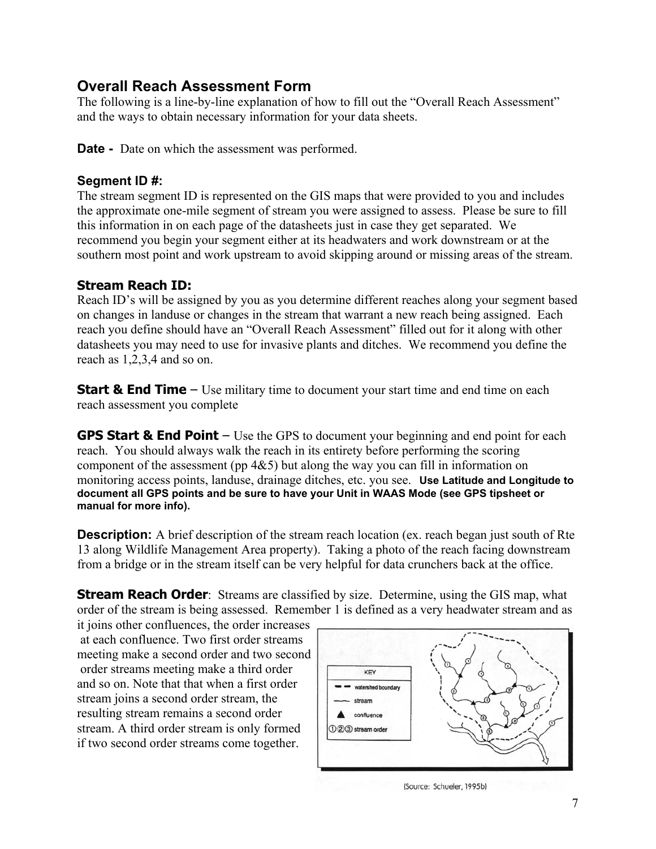## **Overall Reach Assessment Form**

The following is a line-by-line explanation of how to fill out the "Overall Reach Assessment" and the ways to obtain necessary information for your data sheets.

**Date -** Date on which the assessment was performed.

## **Segment ID #:**

The stream segment ID is represented on the GIS maps that were provided to you and includes the approximate one-mile segment of stream you were assigned to assess. Please be sure to fill this information in on each page of the datasheets just in case they get separated. We recommend you begin your segment either at its headwaters and work downstream or at the southern most point and work upstream to avoid skipping around or missing areas of the stream.

## **Stream Reach ID:**

Reach ID's will be assigned by you as you determine different reaches along your segment based on changes in landuse or changes in the stream that warrant a new reach being assigned. Each reach you define should have an "Overall Reach Assessment" filled out for it along with other datasheets you may need to use for invasive plants and ditches. We recommend you define the reach as 1,2,3,4 and so on.

**Start & End Time** – Use military time to document your start time and end time on each reach assessment you complete

**GPS Start & End Point** – Use the GPS to document your beginning and end point for each reach. You should always walk the reach in its entirety before performing the scoring component of the assessment (pp 4&5) but along the way you can fill in information on monitoring access points, landuse, drainage ditches, etc. you see. **Use Latitude and Longitude to document all GPS points and be sure to have your Unit in WAAS Mode (see GPS tipsheet or manual for more info).** 

**Description:** A brief description of the stream reach location (ex. reach began just south of Rte 13 along Wildlife Management Area property). Taking a photo of the reach facing downstream from a bridge or in the stream itself can be very helpful for data crunchers back at the office.

**Stream Reach Order**: Streams are classified by size. Determine, using the GIS map, what order of the stream is being assessed. Remember 1 is defined as a very headwater stream and as

it joins other confluences, the order increases at each confluence. Two first order streams meeting make a second order and two second order streams meeting make a third order and so on. Note that that when a first order stream joins a second order stream, the resulting stream remains a second order stream. A third order stream is only formed if two second order streams come together.



(Source: Schueler, 1995b)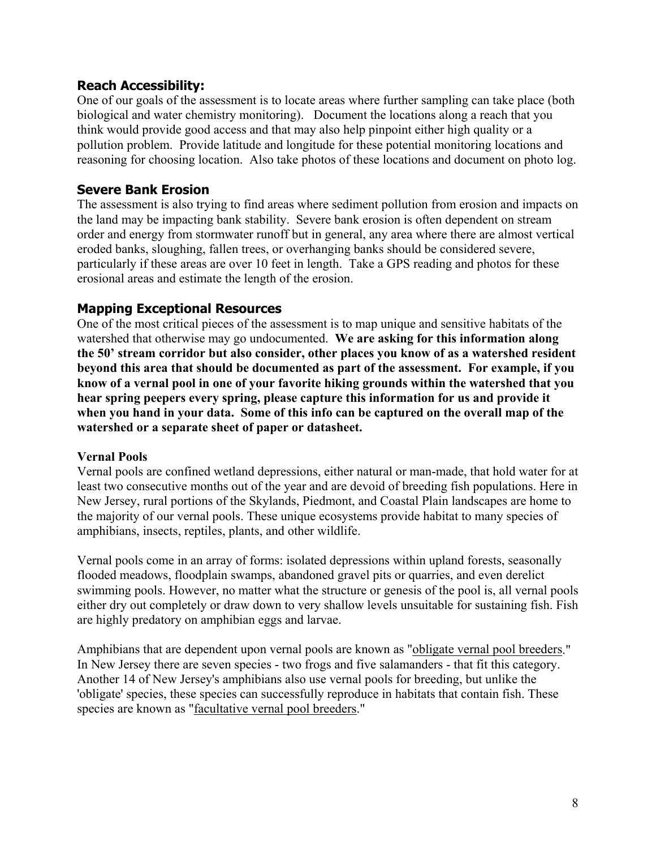#### **Reach Accessibility:**

One of our goals of the assessment is to locate areas where further sampling can take place (both biological and water chemistry monitoring). Document the locations along a reach that you think would provide good access and that may also help pinpoint either high quality or a pollution problem. Provide latitude and longitude for these potential monitoring locations and reasoning for choosing location. Also take photos of these locations and document on photo log.

## **Severe Bank Erosion**

The assessment is also trying to find areas where sediment pollution from erosion and impacts on the land may be impacting bank stability. Severe bank erosion is often dependent on stream order and energy from stormwater runoff but in general, any area where there are almost vertical eroded banks, sloughing, fallen trees, or overhanging banks should be considered severe, particularly if these areas are over 10 feet in length. Take a GPS reading and photos for these erosional areas and estimate the length of the erosion.

#### **Mapping Exceptional Resources**

One of the most critical pieces of the assessment is to map unique and sensitive habitats of the watershed that otherwise may go undocumented. **We are asking for this information along the 50' stream corridor but also consider, other places you know of as a watershed resident beyond this area that should be documented as part of the assessment. For example, if you know of a vernal pool in one of your favorite hiking grounds within the watershed that you hear spring peepers every spring, please capture this information for us and provide it when you hand in your data. Some of this info can be captured on the overall map of the watershed or a separate sheet of paper or datasheet.** 

#### **Vernal Pools**

Vernal pools are confined wetland depressions, either natural or man-made, that hold water for at least two consecutive months out of the year and are devoid of breeding fish populations. Here in New Jersey, rural portions of the Skylands, Piedmont, and Coastal Plain landscapes are home to the majority of our vernal pools. These unique ecosystems provide habitat to many species of amphibians, insects, reptiles, plants, and other wildlife.

Vernal pools come in an array of forms: isolated depressions within upland forests, seasonally flooded meadows, floodplain swamps, abandoned gravel pits or quarries, and even derelict swimming pools. However, no matter what the structure or genesis of the pool is, all vernal pools either dry out completely or draw down to very shallow levels unsuitable for sustaining fish. Fish are highly predatory on amphibian eggs and larvae.

Amphibians that are dependent upon vernal pools are known as "obligate vernal pool [breeders](http://www.state.nj.us/dep/fgw/ensp/)." In New Jersey there are seven species - two frogs and five salamanders - that fit this category. Another 14 of New Jersey's amphibians also use vernal pools for breeding, but unlike the 'obligate' species, these species can successfully reproduce in habitats that contain fish. These species are known as ["facultative](http://www.state.nj.us/dep/fgw/ensp/) vernal pool breeders."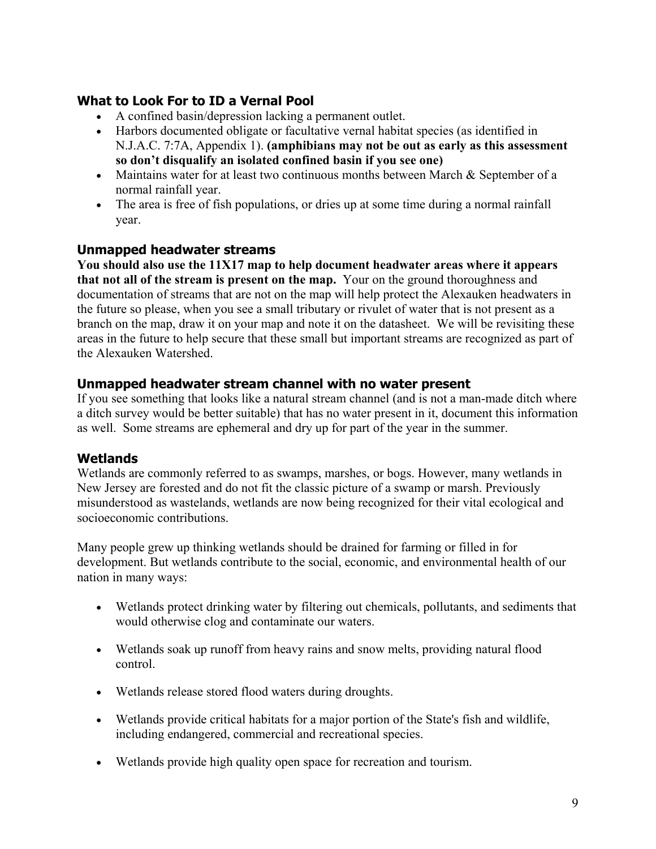## **What to Look For to ID a Vernal Pool**

- A confined basin/depression lacking a permanent outlet.
- Harbors documented obligate or facultative vernal habitat species (as identified in N.J.A.C. 7:7A, Appendix 1). **(amphibians may not be out as early as this assessment so don't disqualify an isolated confined basin if you see one)**
- Maintains water for at least two continuous months between March & September of a normal rainfall year.
- The area is free of fish populations, or dries up at some time during a normal rainfall year.

#### **Unmapped headwater streams**

**You should also use the 11X17 map to help document headwater areas where it appears that not all of the stream is present on the map.** Your on the ground thoroughness and documentation of streams that are not on the map will help protect the Alexauken headwaters in the future so please, when you see a small tributary or rivulet of water that is not present as a branch on the map, draw it on your map and note it on the datasheet. We will be revisiting these areas in the future to help secure that these small but important streams are recognized as part of the Alexauken Watershed.

#### **Unmapped headwater stream channel with no water present**

If you see something that looks like a natural stream channel (and is not a man-made ditch where a ditch survey would be better suitable) that has no water present in it, document this information as well. Some streams are ephemeral and dry up for part of the year in the summer.

## **Wetlands**

Wetlands are commonly referred to as swamps, marshes, or bogs. However, many wetlands in New Jersey are forested and do not fit the classic picture of a swamp or marsh. Previously misunderstood as wastelands, wetlands are now being recognized for their vital ecological and socioeconomic contributions.

Many people grew up thinking wetlands should be drained for farming or filled in for development. But wetlands contribute to the social, economic, and environmental health of our nation in many ways:

- Wetlands protect drinking water by filtering out chemicals, pollutants, and sediments that would otherwise clog and contaminate our waters.
- Wetlands soak up runoff from heavy rains and snow melts, providing natural flood control.
- Wetlands release stored flood waters during droughts.
- Wetlands provide critical habitats for a major portion of the State's fish and wildlife, including endangered, commercial and recreational species.
- Wetlands provide high quality open space for recreation and tourism.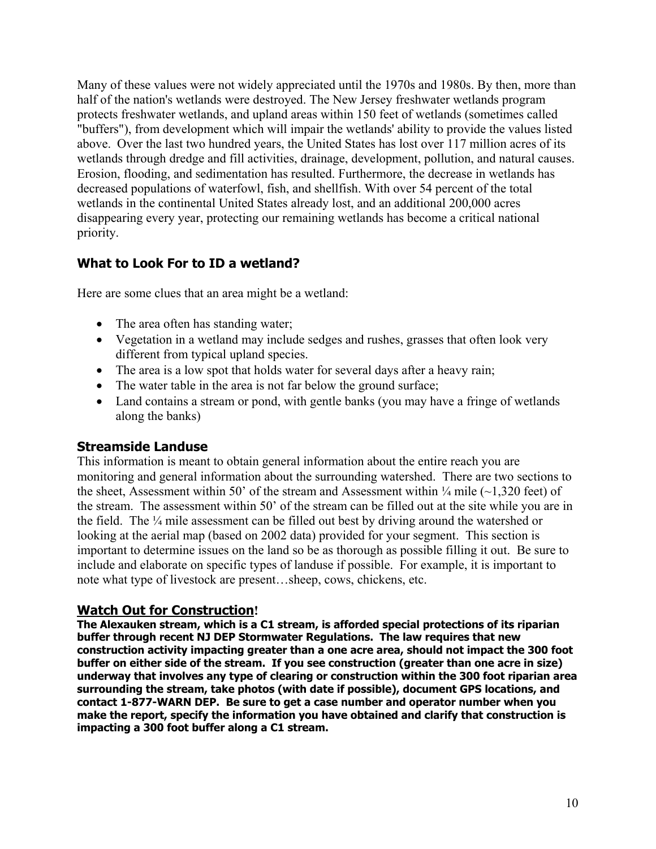Many of these values were not widely appreciated until the 1970s and 1980s. By then, more than half of the nation's wetlands were destroyed. The New Jersey freshwater wetlands program protects freshwater wetlands, and upland areas within 150 feet of wetlands (sometimes called "buffers"), from development which will impair the wetlands' ability to provide the values listed above. Over the last two hundred years, the United States has lost over 117 million acres of its wetlands through dredge and fill activities, drainage, development, pollution, and natural causes. Erosion, flooding, and sedimentation has resulted. Furthermore, the decrease in wetlands has decreased populations of waterfowl, fish, and shellfish. With over 54 percent of the total wetlands in the continental United States already lost, and an additional 200,000 acres disappearing every year, protecting our remaining wetlands has become a critical national priority.

## **What to Look For to ID a wetland?**

Here are some clues that an area might be a wetland:

- The area often has standing water;
- Vegetation in a wetland may include sedges and rushes, grasses that often look very different from typical upland species.
- The area is a low spot that holds water for several days after a heavy rain;
- The water table in the area is not far below the ground surface;
- Land contains a stream or pond, with gentle banks (you may have a fringe of wetlands along the banks)

#### **Streamside Landuse**

This information is meant to obtain general information about the entire reach you are monitoring and general information about the surrounding watershed. There are two sections to the sheet, Assessment within 50' of the stream and Assessment within  $\frac{1}{4}$  mile (~1,320 feet) of the stream. The assessment within 50' of the stream can be filled out at the site while you are in the field. The ¼ mile assessment can be filled out best by driving around the watershed or looking at the aerial map (based on 2002 data) provided for your segment. This section is important to determine issues on the land so be as thorough as possible filling it out. Be sure to include and elaborate on specific types of landuse if possible. For example, it is important to note what type of livestock are present…sheep, cows, chickens, etc.

#### **Watch Out for Construction!**

**The Alexauken stream, which is a C1 stream, is afforded special protections of its riparian buffer through recent NJ DEP Stormwater Regulations. The law requires that new construction activity impacting greater than a one acre area, should not impact the 300 foot buffer on either side of the stream. If you see construction (greater than one acre in size) underway that involves any type of clearing or construction within the 300 foot riparian area surrounding the stream, take photos (with date if possible), document GPS locations, and contact 1-877-WARN DEP. Be sure to get a case number and operator number when you make the report, specify the information you have obtained and clarify that construction is impacting a 300 foot buffer along a C1 stream.**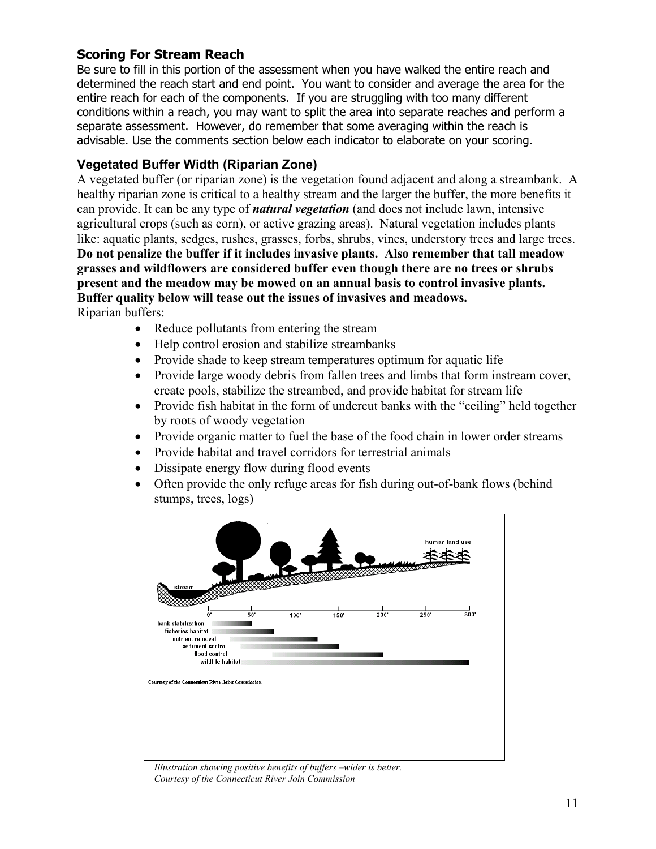## **Scoring For Stream Reach**

Be sure to fill in this portion of the assessment when you have walked the entire reach and determined the reach start and end point. You want to consider and average the area for the entire reach for each of the components. If you are struggling with too many different conditions within a reach, you may want to split the area into separate reaches and perform a separate assessment. However, do remember that some averaging within the reach is advisable. Use the comments section below each indicator to elaborate on your scoring.

## **Vegetated Buffer Width (Riparian Zone)**

A vegetated buffer (or riparian zone) is the vegetation found adjacent and along a streambank. A healthy riparian zone is critical to a healthy stream and the larger the buffer, the more benefits it can provide. It can be any type of *natural vegetation* (and does not include lawn, intensive agricultural crops (such as corn), or active grazing areas). Natural vegetation includes plants like: aquatic plants, sedges, rushes, grasses, forbs, shrubs, vines, understory trees and large trees. **Do not penalize the buffer if it includes invasive plants. Also remember that tall meadow grasses and wildflowers are considered buffer even though there are no trees or shrubs present and the meadow may be mowed on an annual basis to control invasive plants. Buffer quality below will tease out the issues of invasives and meadows.**  Riparian buffers:

- Reduce pollutants from entering the stream
- Help control erosion and stabilize streambanks
- Provide shade to keep stream temperatures optimum for aquatic life
- Provide large woody debris from fallen trees and limbs that form instream cover, create pools, stabilize the streambed, and provide habitat for stream life
- Provide fish habitat in the form of undercut banks with the "ceiling" held together by roots of woody vegetation
- Provide organic matter to fuel the base of the food chain in lower order streams
- Provide habitat and travel corridors for terrestrial animals
- Dissipate energy flow during flood events
- Often provide the only refuge areas for fish during out-of-bank flows (behind stumps, trees, logs)



 *Illustration showing positive benefits of buffers –wider is better. Courtesy of the Connecticut River Join Commission*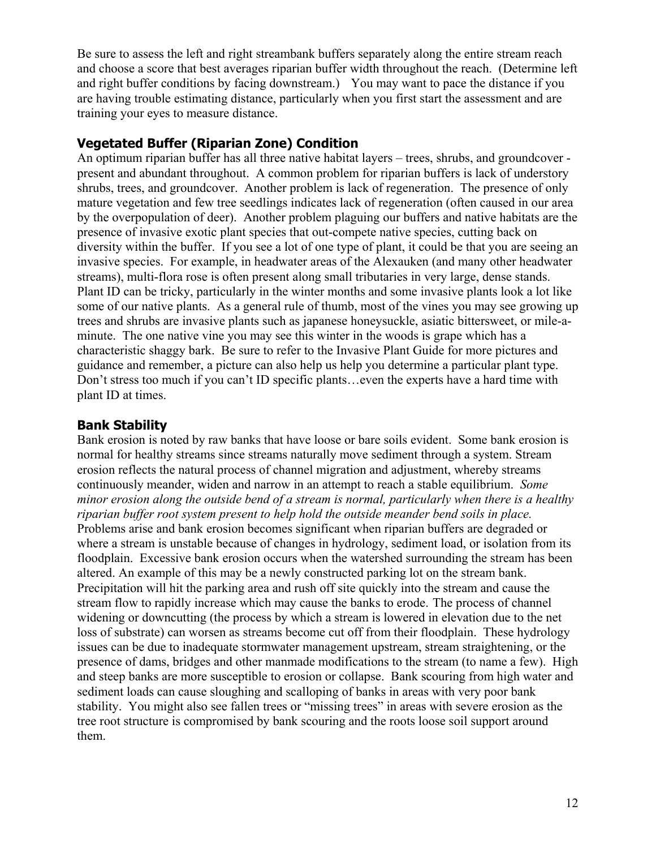Be sure to assess the left and right streambank buffers separately along the entire stream reach and choose a score that best averages riparian buffer width throughout the reach. (Determine left and right buffer conditions by facing downstream.) You may want to pace the distance if you are having trouble estimating distance, particularly when you first start the assessment and are training your eyes to measure distance.

## **Vegetated Buffer (Riparian Zone) Condition**

An optimum riparian buffer has all three native habitat layers – trees, shrubs, and groundcover present and abundant throughout. A common problem for riparian buffers is lack of understory shrubs, trees, and groundcover. Another problem is lack of regeneration. The presence of only mature vegetation and few tree seedlings indicates lack of regeneration (often caused in our area by the overpopulation of deer). Another problem plaguing our buffers and native habitats are the presence of invasive exotic plant species that out-compete native species, cutting back on diversity within the buffer. If you see a lot of one type of plant, it could be that you are seeing an invasive species. For example, in headwater areas of the Alexauken (and many other headwater streams), multi-flora rose is often present along small tributaries in very large, dense stands. Plant ID can be tricky, particularly in the winter months and some invasive plants look a lot like some of our native plants. As a general rule of thumb, most of the vines you may see growing up trees and shrubs are invasive plants such as japanese honeysuckle, asiatic bittersweet, or mile-aminute. The one native vine you may see this winter in the woods is grape which has a characteristic shaggy bark. Be sure to refer to the Invasive Plant Guide for more pictures and guidance and remember, a picture can also help us help you determine a particular plant type. Don't stress too much if you can't ID specific plants…even the experts have a hard time with plant ID at times.

## **Bank Stability**

Bank erosion is noted by raw banks that have loose or bare soils evident. Some bank erosion is normal for healthy streams since streams naturally move sediment through a system. Stream erosion reflects the natural process of channel migration and adjustment, whereby streams continuously meander, widen and narrow in an attempt to reach a stable equilibrium. *Some minor erosion along the outside bend of a stream is normal, particularly when there is a healthy riparian buffer root system present to help hold the outside meander bend soils in place.* Problems arise and bank erosion becomes significant when riparian buffers are degraded or where a stream is unstable because of changes in hydrology, sediment load, or isolation from its floodplain. Excessive bank erosion occurs when the watershed surrounding the stream has been altered. An example of this may be a newly constructed parking lot on the stream bank. Precipitation will hit the parking area and rush off site quickly into the stream and cause the stream flow to rapidly increase which may cause the banks to erode. The process of channel widening or downcutting (the process by which a stream is lowered in elevation due to the net loss of substrate) can worsen as streams become cut off from their floodplain. These hydrology issues can be due to inadequate stormwater management upstream, stream straightening, or the presence of dams, bridges and other manmade modifications to the stream (to name a few). High and steep banks are more susceptible to erosion or collapse. Bank scouring from high water and sediment loads can cause sloughing and scalloping of banks in areas with very poor bank stability. You might also see fallen trees or "missing trees" in areas with severe erosion as the tree root structure is compromised by bank scouring and the roots loose soil support around them.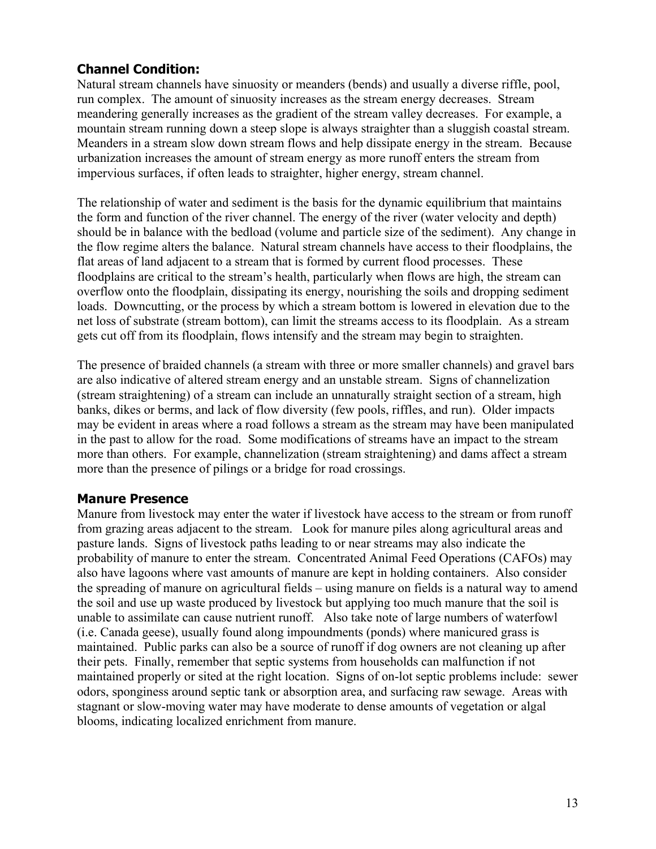## **Channel Condition:**

Natural stream channels have sinuosity or meanders (bends) and usually a diverse riffle, pool, run complex. The amount of sinuosity increases as the stream energy decreases. Stream meandering generally increases as the gradient of the stream valley decreases. For example, a mountain stream running down a steep slope is always straighter than a sluggish coastal stream. Meanders in a stream slow down stream flows and help dissipate energy in the stream. Because urbanization increases the amount of stream energy as more runoff enters the stream from impervious surfaces, if often leads to straighter, higher energy, stream channel.

The relationship of water and sediment is the basis for the dynamic equilibrium that maintains the form and function of the river channel. The energy of the river (water velocity and depth) should be in balance with the bedload (volume and particle size of the sediment). Any change in the flow regime alters the balance. Natural stream channels have access to their floodplains, the flat areas of land adjacent to a stream that is formed by current flood processes. These floodplains are critical to the stream's health, particularly when flows are high, the stream can overflow onto the floodplain, dissipating its energy, nourishing the soils and dropping sediment loads. Downcutting, or the process by which a stream bottom is lowered in elevation due to the net loss of substrate (stream bottom), can limit the streams access to its floodplain. As a stream gets cut off from its floodplain, flows intensify and the stream may begin to straighten.

The presence of braided channels (a stream with three or more smaller channels) and gravel bars are also indicative of altered stream energy and an unstable stream. Signs of channelization (stream straightening) of a stream can include an unnaturally straight section of a stream, high banks, dikes or berms, and lack of flow diversity (few pools, riffles, and run). Older impacts may be evident in areas where a road follows a stream as the stream may have been manipulated in the past to allow for the road. Some modifications of streams have an impact to the stream more than others. For example, channelization (stream straightening) and dams affect a stream more than the presence of pilings or a bridge for road crossings.

#### **Manure Presence**

Manure from livestock may enter the water if livestock have access to the stream or from runoff from grazing areas adjacent to the stream. Look for manure piles along agricultural areas and pasture lands. Signs of livestock paths leading to or near streams may also indicate the probability of manure to enter the stream. Concentrated Animal Feed Operations (CAFOs) may also have lagoons where vast amounts of manure are kept in holding containers. Also consider the spreading of manure on agricultural fields – using manure on fields is a natural way to amend the soil and use up waste produced by livestock but applying too much manure that the soil is unable to assimilate can cause nutrient runoff. Also take note of large numbers of waterfowl (i.e. Canada geese), usually found along impoundments (ponds) where manicured grass is maintained. Public parks can also be a source of runoff if dog owners are not cleaning up after their pets. Finally, remember that septic systems from households can malfunction if not maintained properly or sited at the right location. Signs of on-lot septic problems include: sewer odors, sponginess around septic tank or absorption area, and surfacing raw sewage. Areas with stagnant or slow-moving water may have moderate to dense amounts of vegetation or algal blooms, indicating localized enrichment from manure.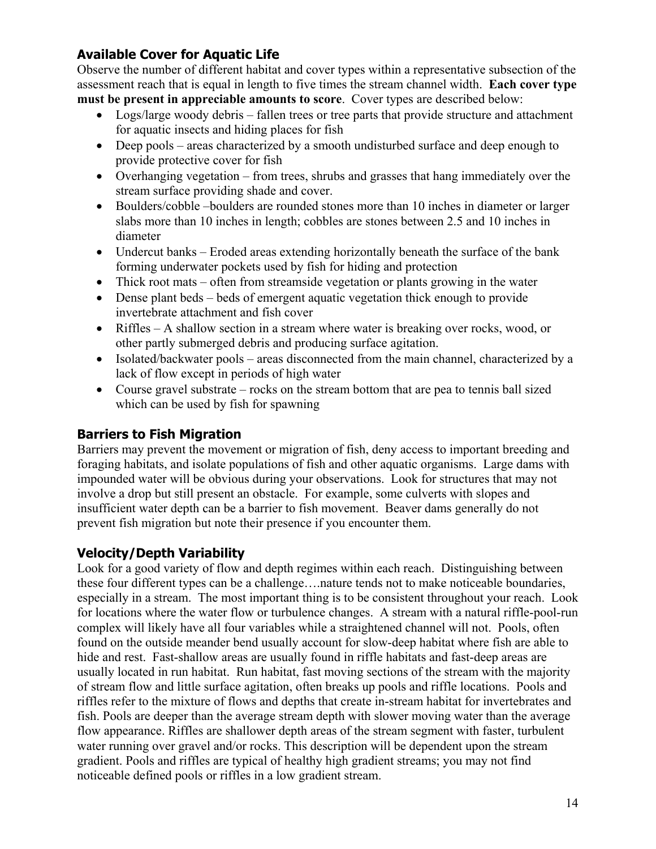## **Available Cover for Aquatic Life**

Observe the number of different habitat and cover types within a representative subsection of the assessment reach that is equal in length to five times the stream channel width. **Each cover type must be present in appreciable amounts to score**. Cover types are described below:

- Logs/large woody debris fallen trees or tree parts that provide structure and attachment for aquatic insects and hiding places for fish
- Deep pools areas characterized by a smooth undisturbed surface and deep enough to provide protective cover for fish
- Overhanging vegetation from trees, shrubs and grasses that hang immediately over the stream surface providing shade and cover.
- Boulders/cobble –boulders are rounded stones more than 10 inches in diameter or larger slabs more than 10 inches in length; cobbles are stones between 2.5 and 10 inches in diameter
- Undercut banks Eroded areas extending horizontally beneath the surface of the bank forming underwater pockets used by fish for hiding and protection
- Thick root mats often from streamside vegetation or plants growing in the water
- Dense plant beds beds of emergent aquatic vegetation thick enough to provide invertebrate attachment and fish cover
- Riffles A shallow section in a stream where water is breaking over rocks, wood, or other partly submerged debris and producing surface agitation.
- Isolated/backwater pools areas disconnected from the main channel, characterized by a lack of flow except in periods of high water
- Course gravel substrate rocks on the stream bottom that are pea to tennis ball sized which can be used by fish for spawning

## **Barriers to Fish Migration**

Barriers may prevent the movement or migration of fish, deny access to important breeding and foraging habitats, and isolate populations of fish and other aquatic organisms. Large dams with impounded water will be obvious during your observations. Look for structures that may not involve a drop but still present an obstacle. For example, some culverts with slopes and insufficient water depth can be a barrier to fish movement. Beaver dams generally do not prevent fish migration but note their presence if you encounter them.

## **Velocity/Depth Variability**

Look for a good variety of flow and depth regimes within each reach. Distinguishing between these four different types can be a challenge….nature tends not to make noticeable boundaries, especially in a stream. The most important thing is to be consistent throughout your reach. Look for locations where the water flow or turbulence changes. A stream with a natural riffle-pool-run complex will likely have all four variables while a straightened channel will not. Pools, often found on the outside meander bend usually account for slow-deep habitat where fish are able to hide and rest. Fast-shallow areas are usually found in riffle habitats and fast-deep areas are usually located in run habitat. Run habitat, fast moving sections of the stream with the majority of stream flow and little surface agitation, often breaks up pools and riffle locations. Pools and riffles refer to the mixture of flows and depths that create in-stream habitat for invertebrates and fish. Pools are deeper than the average stream depth with slower moving water than the average flow appearance. Riffles are shallower depth areas of the stream segment with faster, turbulent water running over gravel and/or rocks. This description will be dependent upon the stream gradient. Pools and riffles are typical of healthy high gradient streams; you may not find noticeable defined pools or riffles in a low gradient stream.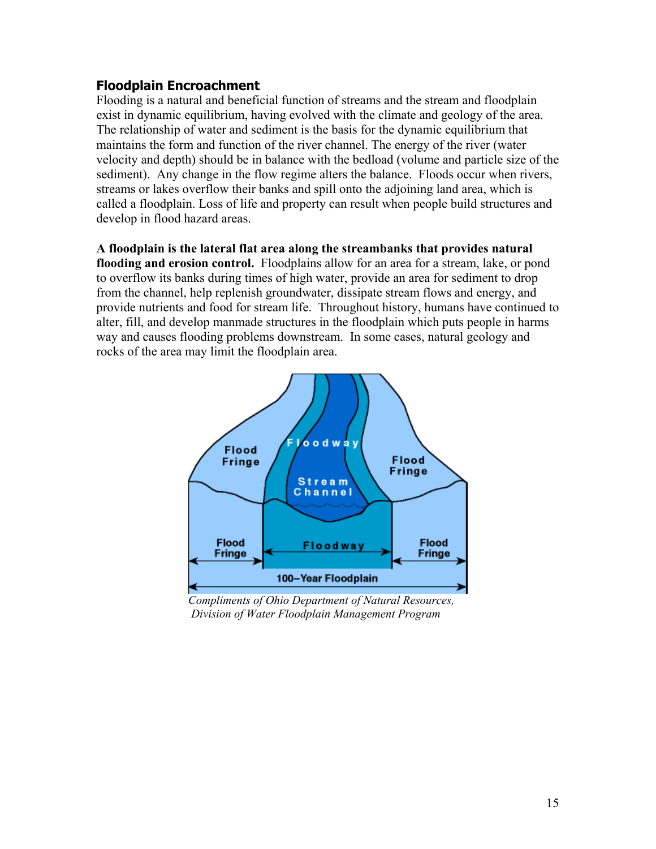## **Floodplain Encroachment**

Flooding is a natural and beneficial function of streams and the stream and floodplain exist in dynamic equilibrium, having evolved with the climate and geology of the area. The relationship of water and sediment is the basis for the dynamic equilibrium that maintains the form and function of the river channel. The energy of the river (water velocity and depth) should be in balance with the bedload (volume and particle size of the sediment). Any change in the flow regime alters the balance. Floods occur when rivers, streams or lakes overflow their banks and spill onto the adjoining land area, which is called a floodplain. Loss of life and property can result when people build structures and develop in flood hazard areas.

**A floodplain is the lateral flat area along the streambanks that provides natural**  flooding and erosion control. Floodplains allow for an area for a stream, lake, or pond to overflow its banks during times of high water, provide an area for sediment to drop from the channel, help replenish groundwater, dissipate stream flows and energy, and provide nutrients and food for stream life. Throughout history, humans have continued to alter, fill, and develop manmade structures in the floodplain which puts people in harms way and causes flooding problems downstream. In some cases, natural geology and rocks of the area may limit the floodplain area.



 *Compliments of Ohio Department of Natural Resources, Division of Water Floodplain Management Program*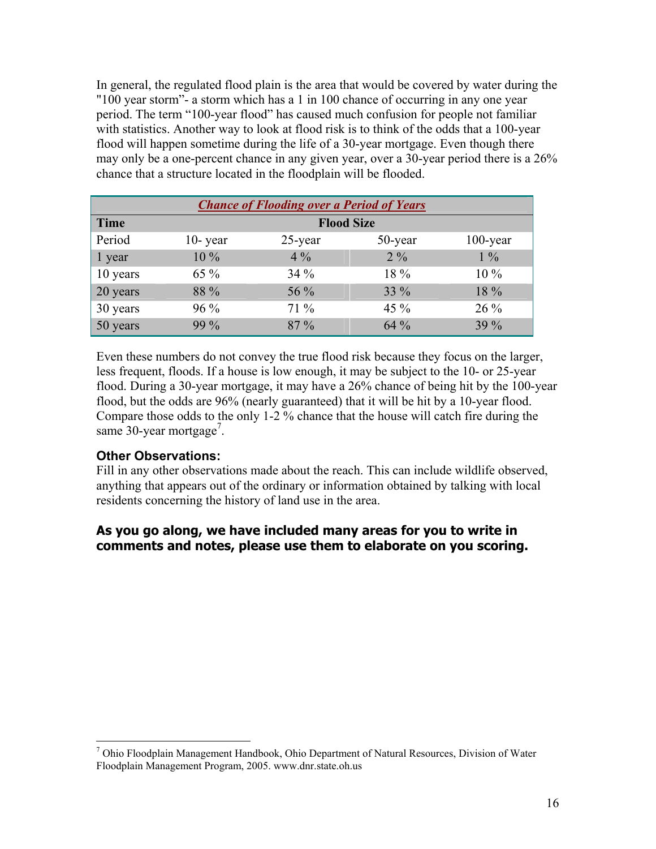In general, the regulated flood plain is the area that would be covered by water during the "100 year storm"- a storm which has a 1 in 100 chance of occurring in any one year period. The term "100-year flood" has caused much confusion for people not familiar with statistics. Another way to look at flood risk is to think of the odds that a 100-year flood will happen sometime during the life of a 30-year mortgage. Even though there may only be a one-percent chance in any given year, over a 30-year period there is a 26% chance that a structure located in the floodplain will be flooded.

| <b>Chance of Flooding over a Period of Years</b> |                   |            |         |             |  |
|--------------------------------------------------|-------------------|------------|---------|-------------|--|
| <b>Time</b>                                      | <b>Flood Size</b> |            |         |             |  |
| Period                                           | $10$ - year       | $25$ -year | 50-year | $100$ -year |  |
| 1 year                                           | $10\%$            | $4\%$      | $2\%$   | $1\%$       |  |
| 10 years                                         | 65 %              | 34%        | 18 %    | $10\%$      |  |
| 20 years                                         | 88 %              | 56 %       | 33 %    | 18 %        |  |
| 30 years                                         | $96\%$            | 71 %       | 45 $\%$ | $26\%$      |  |
| 50 years                                         | 99 %              | $87\%$     | $64\%$  | 39 %        |  |

Even these numbers do not convey the true flood risk because they focus on the larger, less frequent, floods. If a house is low enough, it may be subject to the 10- or 25-year flood. During a 30-year mortgage, it may have a 26% chance of being hit by the 100-year flood, but the odds are 96% (nearly guaranteed) that it will be hit by a 10-year flood. Compare those odds to the only 1-2 % chance that the house will catch fire during the same 30-year mortgage<sup>[7](#page-45-0)</sup>.

## **Other Observations:**

 $\overline{a}$ 

Fill in any other observations made about the reach. This can include wildlife observed, anything that appears out of the ordinary or information obtained by talking with local residents concerning the history of land use in the area.

## **As you go along, we have included many areas for you to write in comments and notes, please use them to elaborate on you scoring.**

<span id="page-45-0"></span><sup>&</sup>lt;sup>7</sup> Ohio Floodplain Management Handbook, Ohio Department of Natural Resources, Division of Water Floodplain Management Program, 2005. www.dnr.state.oh.us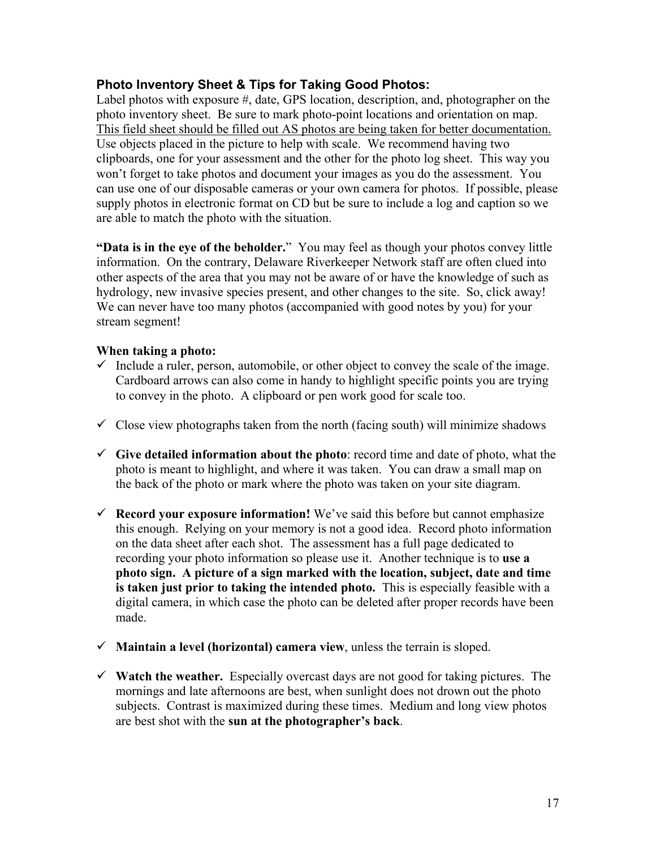#### **Photo Inventory Sheet & Tips for Taking Good Photos:**

Label photos with exposure #, date, GPS location, description, and, photographer on the photo inventory sheet. Be sure to mark photo-point locations and orientation on map. This field sheet should be filled out AS photos are being taken for better documentation. Use objects placed in the picture to help with scale. We recommend having two clipboards, one for your assessment and the other for the photo log sheet. This way you won't forget to take photos and document your images as you do the assessment. You can use one of our disposable cameras or your own camera for photos. If possible, please supply photos in electronic format on CD but be sure to include a log and caption so we are able to match the photo with the situation.

**"Data is in the eye of the beholder.**" You may feel as though your photos convey little information. On the contrary, Delaware Riverkeeper Network staff are often clued into other aspects of the area that you may not be aware of or have the knowledge of such as hydrology, new invasive species present, and other changes to the site. So, click away! We can never have too many photos (accompanied with good notes by you) for your stream segment!

#### **When taking a photo:**

- $\checkmark$  Include a ruler, person, automobile, or other object to convey the scale of the image. Cardboard arrows can also come in handy to highlight specific points you are trying to convey in the photo. A clipboard or pen work good for scale too.
- $\checkmark$  Close view photographs taken from the north (facing south) will minimize shadows
- $\checkmark$  Give detailed information about the photo: record time and date of photo, what the photo is meant to highlight, and where it was taken. You can draw a small map on the back of the photo or mark where the photo was taken on your site diagram.
- $\checkmark$  **Record your exposure information!** We've said this before but cannot emphasize this enough. Relying on your memory is not a good idea. Record photo information on the data sheet after each shot. The assessment has a full page dedicated to recording your photo information so please use it. Another technique is to **use a photo sign. A picture of a sign marked with the location, subject, date and time is taken just prior to taking the intended photo.** This is especially feasible with a digital camera, in which case the photo can be deleted after proper records have been made.
- $\checkmark$  **Maintain a level (horizontal) camera view**, unless the terrain is sloped.
- $\checkmark$  **Watch the weather.** Especially overcast days are not good for taking pictures. The mornings and late afternoons are best, when sunlight does not drown out the photo subjects. Contrast is maximized during these times. Medium and long view photos are best shot with the **sun at the photographer's back**.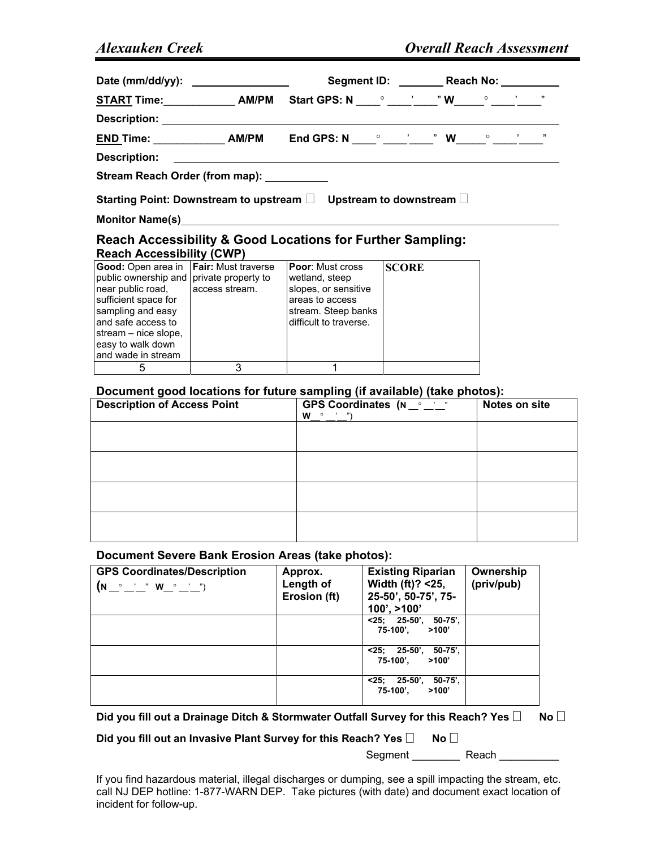| Date (mm/dd/yy): ________________                                                                                                                      |                |              | Segment ID: __________ Reach No: __________ |  |  |
|--------------------------------------------------------------------------------------------------------------------------------------------------------|----------------|--------------|---------------------------------------------|--|--|
| <b>START Time:</b> _______________AM/PM Start GPS: N _____ <sup>o</sup> ______ <sup>3</sup> W_____ <sup>o</sup> _____ <sup>3</sup> ______ <sup>n</sup> |                |              |                                             |  |  |
|                                                                                                                                                        |                |              |                                             |  |  |
| <u>END Time: _____________</u> AM/PM   End GPS: N ____° ____'____" W_____° ____'____"                                                                  |                |              |                                             |  |  |
|                                                                                                                                                        |                |              |                                             |  |  |
| Stream Reach Order (from map): __________                                                                                                              |                |              |                                             |  |  |
| Starting Point: Downstream to upstream $\square$ Upstream to downstream $\square$                                                                      |                |              |                                             |  |  |
| Monitor Name(s) Monitor Name (s)                                                                                                                       |                |              |                                             |  |  |
| <b>Reach Accessibility &amp; Good Locations for Further Sampling:</b><br><b>Reach Accessibility (CWP)</b>                                              |                |              |                                             |  |  |
| <b>Good:</b> Open area in <b>Fair:</b> Must traverse <b>Poor:</b> Must cross<br>public ownership and   private property to                             | wetland, steep | <b>SCORE</b> |                                             |  |  |

| Good: Open area in <b>Fair</b> : Must traverse<br>public ownership and private property to<br>near public road.<br>sufficient space for<br>sampling and easy<br>and safe access to<br>stream – nice slope,<br>easy to walk down<br>and wade in stream | access stream. | <b>Poor</b> : Must cross<br>wetland, steep<br>slopes, or sensitive<br>areas to access<br>stream. Steep banks<br>difficult to traverse. | ISCORE |
|-------------------------------------------------------------------------------------------------------------------------------------------------------------------------------------------------------------------------------------------------------|----------------|----------------------------------------------------------------------------------------------------------------------------------------|--------|
|                                                                                                                                                                                                                                                       |                |                                                                                                                                        |        |

#### **Document good locations for future sampling (if available) (take photos):**

| <b>Description of Access Point</b> | GPS Coordinates $(N_{\text{max}}^{\text{max}})$<br>W<br>, n<br>$\circ$ | Notes on site |
|------------------------------------|------------------------------------------------------------------------|---------------|
|                                    |                                                                        |               |
|                                    |                                                                        |               |
|                                    |                                                                        |               |
|                                    |                                                                        |               |
|                                    |                                                                        |               |

#### **Document Severe Bank Erosion Areas (take photos):**

| <b>GPS Coordinates/Description</b><br>$(N \_\circ \_\cdot \_\cdot \ \ \mathsf{W} \_\circ \_\cdot \_\cdot \$ | Approx.<br>Length of<br>Erosion (ft) | <b>Existing Riparian</b><br>Width $(ft)$ ? <25,<br>25-50', 50-75', 75-<br>$100'$ , $>100'$ | Ownership<br>(priv/pub) |
|-------------------------------------------------------------------------------------------------------------|--------------------------------------|--------------------------------------------------------------------------------------------|-------------------------|
|                                                                                                             |                                      | $<$ 25; 25-50', 50-75',<br>75-100'.<br>>100'                                               |                         |
|                                                                                                             |                                      | 25-50'.<br>$50-75'$<br><25:<br>75-100',<br>>100'                                           |                         |
|                                                                                                             |                                      | $50-75'$<br>$25$<br>$25-50'$<br>75-100'.<br>>100'                                          |                         |

Did you fill out a Drainage Ditch & Stormwater Outfall Survey for this Reach? Yes  $\square$  No  $\square$ 

**Did you fill out an Invasive Plant Survey for this Reach? Yes □ No □** 

Segment \_\_\_\_\_\_\_\_ Reach \_\_\_\_\_\_\_\_\_\_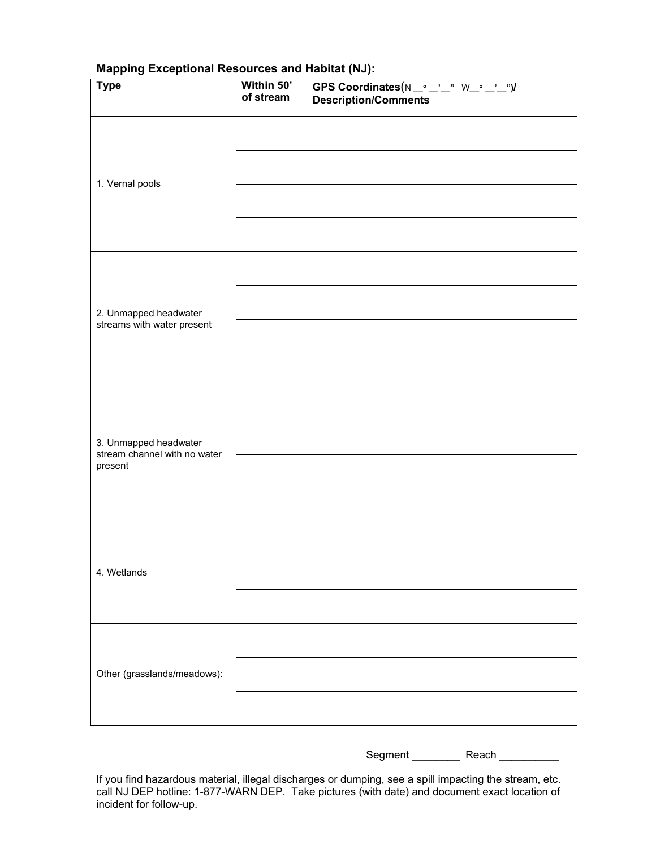| <b>Type</b>                                           | Within 50'<br>of stream | GPS Coordinates(N _° _'_" W_° _'_")/<br><b>Description/Comments</b> |
|-------------------------------------------------------|-------------------------|---------------------------------------------------------------------|
|                                                       |                         |                                                                     |
| 1. Vernal pools                                       |                         |                                                                     |
|                                                       |                         |                                                                     |
|                                                       |                         |                                                                     |
|                                                       |                         |                                                                     |
| 2. Unmapped headwater                                 |                         |                                                                     |
| streams with water present                            |                         |                                                                     |
|                                                       |                         |                                                                     |
|                                                       |                         |                                                                     |
| 3. Unmapped headwater<br>stream channel with no water |                         |                                                                     |
| present                                               |                         |                                                                     |
|                                                       |                         |                                                                     |
|                                                       |                         |                                                                     |
| 4. Wetlands                                           |                         |                                                                     |
|                                                       |                         |                                                                     |
|                                                       |                         |                                                                     |
| Other (grasslands/meadows):                           |                         |                                                                     |
|                                                       |                         |                                                                     |

## **Mapping Exceptional Resources and Habitat (NJ):**

Segment \_\_\_\_\_\_\_\_\_\_\_\_ Reach \_\_\_\_\_\_\_\_\_\_\_\_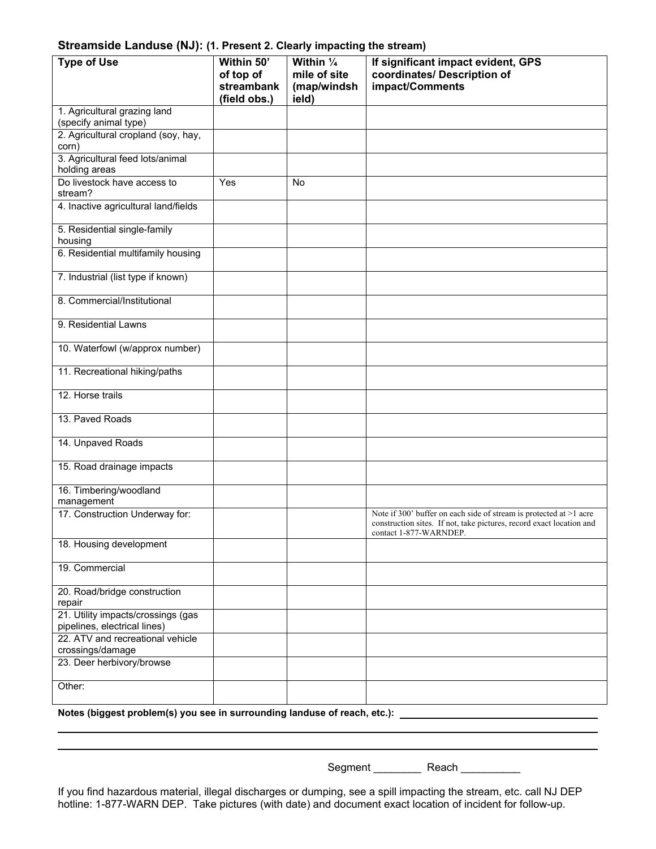#### **Streamside Landuse (NJ): (1. Present 2. Clearly impacting the stream)**

| <b>Type of Use</b>                                                        | Within 50'<br>of top of<br>streambank<br>(field obs.) | Within $\frac{1}{4}$<br>mile of site<br>(map/windsh<br>ield) | If significant impact evident, GPS<br>coordinates/ Description of<br>impact/Comments                                                                                 |
|---------------------------------------------------------------------------|-------------------------------------------------------|--------------------------------------------------------------|----------------------------------------------------------------------------------------------------------------------------------------------------------------------|
| 1. Agricultural grazing land<br>(specify animal type)                     |                                                       |                                                              |                                                                                                                                                                      |
| 2. Agricultural cropland (soy, hay,<br>corn)                              |                                                       |                                                              |                                                                                                                                                                      |
| 3. Agricultural feed lots/animal<br>holding areas                         |                                                       |                                                              |                                                                                                                                                                      |
| Do livestock have access to<br>stream?                                    | Yes                                                   | <b>No</b>                                                    |                                                                                                                                                                      |
| 4. Inactive agricultural land/fields                                      |                                                       |                                                              |                                                                                                                                                                      |
| 5. Residential single-family<br>housing                                   |                                                       |                                                              |                                                                                                                                                                      |
| 6. Residential multifamily housing                                        |                                                       |                                                              |                                                                                                                                                                      |
| 7. Industrial (list type if known)                                        |                                                       |                                                              |                                                                                                                                                                      |
| 8. Commercial/Institutional                                               |                                                       |                                                              |                                                                                                                                                                      |
| 9. Residential Lawns                                                      |                                                       |                                                              |                                                                                                                                                                      |
| 10. Waterfowl (w/approx number)                                           |                                                       |                                                              |                                                                                                                                                                      |
| 11. Recreational hiking/paths                                             |                                                       |                                                              |                                                                                                                                                                      |
| 12. Horse trails                                                          |                                                       |                                                              |                                                                                                                                                                      |
| 13. Paved Roads                                                           |                                                       |                                                              |                                                                                                                                                                      |
| 14. Unpaved Roads                                                         |                                                       |                                                              |                                                                                                                                                                      |
| 15. Road drainage impacts                                                 |                                                       |                                                              |                                                                                                                                                                      |
| 16. Timbering/woodland<br>management                                      |                                                       |                                                              |                                                                                                                                                                      |
| 17. Construction Underway for:                                            |                                                       |                                                              | Note if 300' buffer on each side of stream is protected at >1 acre<br>construction sites. If not, take pictures, record exact location and<br>contact 1-877-WARNDEP. |
| 18. Housing development                                                   |                                                       |                                                              |                                                                                                                                                                      |
| 19. Commercial                                                            |                                                       |                                                              |                                                                                                                                                                      |
| 20. Road/bridge construction<br>repair                                    |                                                       |                                                              |                                                                                                                                                                      |
| 21. Utility impacts/crossings (gas<br>pipelines, electrical lines)        |                                                       |                                                              |                                                                                                                                                                      |
| 22. ATV and recreational vehicle<br>crossings/damage                      |                                                       |                                                              |                                                                                                                                                                      |
| 23. Deer herbivory/browse                                                 |                                                       |                                                              |                                                                                                                                                                      |
| Other:                                                                    |                                                       |                                                              |                                                                                                                                                                      |
| Notes (biggest problem(s) you see in surrounding landuse of reach, etc.): |                                                       |                                                              |                                                                                                                                                                      |

Segment \_\_\_\_\_\_\_\_\_\_\_\_ Reach \_\_\_\_\_\_\_\_\_\_\_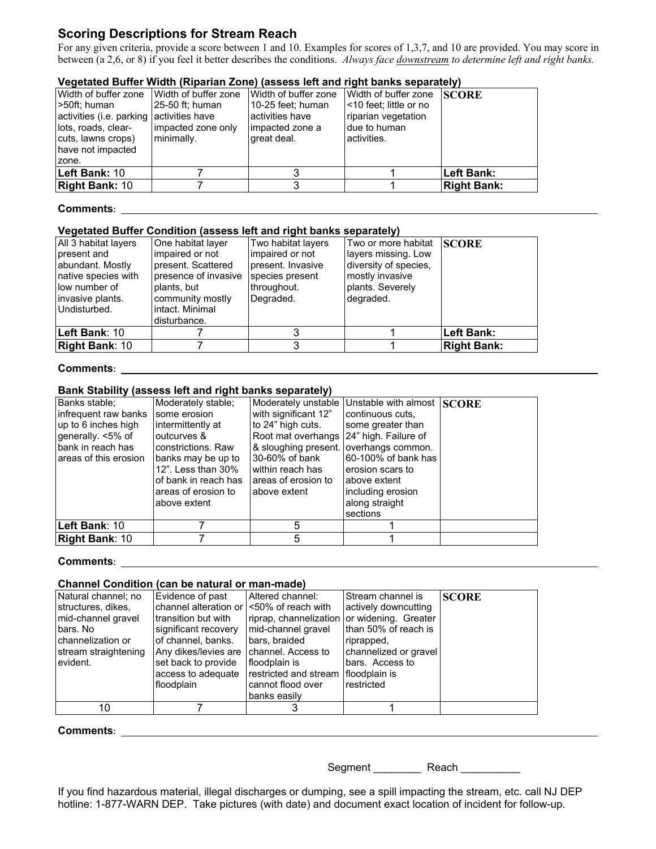## **Scoring Descriptions for Stream Reach**

For any given criteria, provide a score between 1 and 10. Examples for scores of 1,3,7, and 10 are provided. You may score in between (a 2,6, or 8) if you feel it better describes the conditions. *Always face downstream to determine left and right banks.* 

#### **Vegetated Buffer Width (Riparian Zone) (assess left and right banks separately)**

| Width of buffer zone                     | Width of buffer zone | Width of buffer zone | Width of buffer zone     | <b>SCORE</b>       |
|------------------------------------------|----------------------|----------------------|--------------------------|--------------------|
| l>50ft: human                            | 25-50 ft; human      | 10-25 feet: human    | l <10 feet; little or no |                    |
| activities (i.e. parking activities have |                      | activities have      | riparian vegetation      |                    |
| lots, roads, clear-                      | impacted zone only   | impacted zone a      | I due to human           |                    |
| cuts, lawns crops)                       | minimally.           | great deal.          | activities.              |                    |
| have not impacted                        |                      |                      |                          |                    |
| zone.                                    |                      |                      |                          |                    |
| <b>Left Bank: 10</b>                     |                      |                      |                          | ∣Left Bank:        |
| <b>Right Bank: 10</b>                    |                      |                      |                          | <b>Right Bank:</b> |

#### **Comments:**

#### **Vegetated Buffer Condition (assess left and right banks separately)**

| All 3 habitat layers<br>present and<br>abundant. Mostly<br>native species with<br>low number of<br>invasive plants.<br>l Undisturbed. | One habitat layer<br>impaired or not<br>present. Scattered<br>presence of invasive<br>plants, but<br>community mostly<br>intact. Minimal<br>disturbance. | Two habitat layers<br>Impaired or not<br>present. Invasive<br>species present<br>throughout.<br>Degraded. | Two or more habitat SCORE<br>layers missing. Low<br>diversity of species,<br>mostly invasive<br>plants. Severely<br>degraded. |                    |
|---------------------------------------------------------------------------------------------------------------------------------------|----------------------------------------------------------------------------------------------------------------------------------------------------------|-----------------------------------------------------------------------------------------------------------|-------------------------------------------------------------------------------------------------------------------------------|--------------------|
| ∣Left Bank: 10                                                                                                                        |                                                                                                                                                          |                                                                                                           |                                                                                                                               | Left Bank:         |
| <b>Right Bank: 10</b>                                                                                                                 |                                                                                                                                                          |                                                                                                           |                                                                                                                               | <b>Right Bank:</b> |

#### **Comments:**

#### **Bank Stability (assess left and right banks separately)**

| Banks stable;          | Moderately stable;   | Moderately unstable  | Unstable with almost SCORE |  |
|------------------------|----------------------|----------------------|----------------------------|--|
| Infrequent raw banks   | some erosion         | with significant 12" | continuous cuts.           |  |
| up to 6 inches high    | intermittently at    | to 24" high cuts.    | some greater than          |  |
| generally. <5% of      | outcurves &          | Root mat overhangs   | 24" high. Failure of       |  |
| Ibank in reach has     | constrictions, Raw   | & sloughing present. | loverhangs common.         |  |
| lareas of this erosion | banks may be up to   | 30-60% of bank       | 60-100% of bank has        |  |
|                        | 12". Less than 30%   | within reach has     | erosion scars to           |  |
|                        | of bank in reach has | areas of erosion to  | above extent               |  |
|                        | areas of erosion to  | above extent         | including erosion          |  |
|                        | above extent         |                      | along straight             |  |
|                        |                      |                      | sections                   |  |
| <b>Left Bank</b> : 10  |                      | 5                    |                            |  |
| <b>Right Bank: 10</b>  |                      | 5                    |                            |  |

#### **Comments:**

#### **Channel Condition (can be natural or man-made)**

| Natural channel; no  | Evidence of past                          | Altered channel:       | Stream channel is     | <b>SCORE</b> |
|----------------------|-------------------------------------------|------------------------|-----------------------|--------------|
| structures, dikes,   | channel alteration or I<50% of reach with |                        | actively downcutting  |              |
| mid-channel gravel   | transition but with                       | riprap, channelization | or widening. Greater  |              |
| Ibars. No            | significant recovery                      | mid-channel gravel     | than 50% of reach is  |              |
| channelization or    | of channel, banks.                        | bars, braided          | riprapped,            |              |
| stream straightening | Any dikes/levies are   channel. Access to |                        | channelized or gravel |              |
| evident.             | set back to provide                       | I floodplain is        | bars. Access to       |              |
|                      | access to adequate                        | restricted and stream  | floodplain is         |              |
|                      | floodplain                                | cannot flood over      | restricted            |              |
|                      |                                           | banks easily           |                       |              |
| 10                   |                                           |                        |                       |              |

# **Comments:**

Segment Reach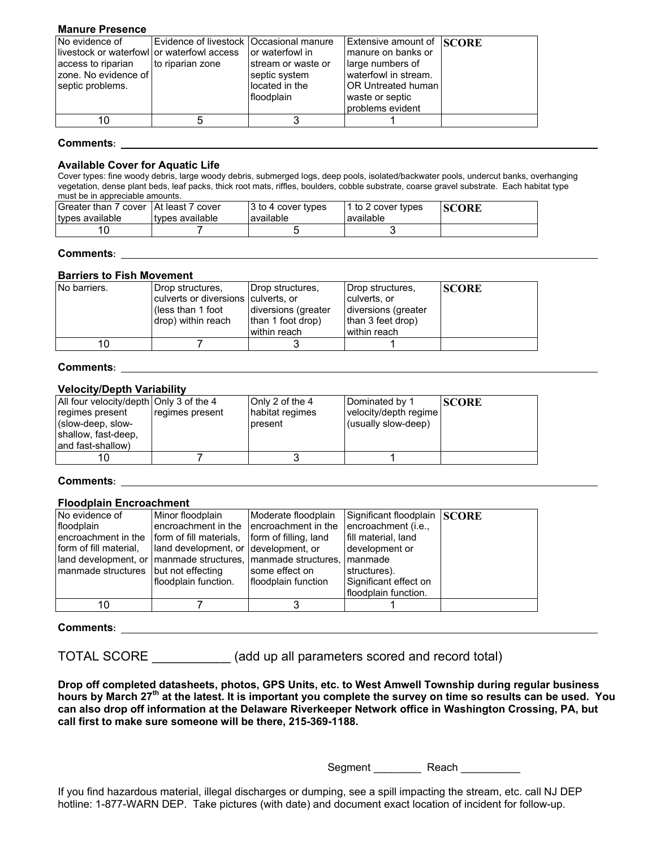#### **Manure Presence**

| No evidence of<br>llivestock or waterfowll or waterfowl access<br>access to riparian<br>zone. No evidence of<br>septic problems. | Evidence of livestock   Occasional manure<br>to riparian zone | Tor waterfowl in<br>Istream or waste or<br>septic system<br>located in the<br>Ifloodplain | Extensive amount of SCORE<br>Imanure on banks or<br>large numbers of<br>waterfowl in stream.<br><b>OR Untreated human</b><br>waste or septic<br>problems evident |  |
|----------------------------------------------------------------------------------------------------------------------------------|---------------------------------------------------------------|-------------------------------------------------------------------------------------------|------------------------------------------------------------------------------------------------------------------------------------------------------------------|--|
|                                                                                                                                  |                                                               |                                                                                           |                                                                                                                                                                  |  |

#### **Comments:**

#### **Available Cover for Aquatic Life**

Cover types: fine woody debris, large woody debris, submerged logs, deep pools, isolated/backwater pools, undercut banks, overhanging vegetation, dense plant beds, leaf packs, thick root mats, riffles, boulders, cobble substrate, coarse gravel substrate. Each habitat type must be in appreciable amounts.

| Greater than 7 cover   At least 7 cover<br>types available | I types available | 3 to 4 cover types<br>lavailable | 1 to 2 cover types<br>available | <b>SCORE</b> |
|------------------------------------------------------------|-------------------|----------------------------------|---------------------------------|--------------|
|                                                            |                   |                                  |                                 |              |

#### **Comments:**

#### **Barriers to Fish Movement**

| No barriers. | Drop structures.<br>culverts or diversions culverts, or<br>(less than 1 foot<br>drop) within reach | Drop structures,<br>diversions (greater<br>than 1 foot drop)<br>I within reach | Drop structures.<br>culverts, or<br>diversions (greater<br>than 3 feet drop)<br>within reach | <b>ISCORE</b> |
|--------------|----------------------------------------------------------------------------------------------------|--------------------------------------------------------------------------------|----------------------------------------------------------------------------------------------|---------------|
|              |                                                                                                    |                                                                                |                                                                                              |               |
| 10           |                                                                                                    |                                                                                |                                                                                              |               |

#### **Comments:**

#### **Velocity/Depth Variability**

| All four velocity/depth Only 3 of the 4 |                 | Only 2 of the 4 | Dominated by 1        | <b>ISCORE</b> |
|-----------------------------------------|-----------------|-----------------|-----------------------|---------------|
| regimes present                         | regimes present | habitat regimes | velocity/depth regime |               |
| (slow-deep, slow-                       |                 | present         | (usually slow-deep)   |               |
| shallow, fast-deep,                     |                 |                 |                       |               |
| Iand fast-shallow)                      |                 |                 |                       |               |
| 10                                      |                 |                 |                       |               |
|                                         |                 |                 |                       |               |

#### **Comments:**

#### **Floodplain Encroachment**

| No evidence of                                                 | Minor floodplain                              | Moderate floodplain | Significant floodplain SCORE |  |
|----------------------------------------------------------------|-----------------------------------------------|---------------------|------------------------------|--|
| floodplain                                                     | lencroachment in the lencroachment in the     |                     | encroachment (i.e.,          |  |
| Iencroachment in the                                           | form of fill materials, form of filling, land |                     | fill material, land          |  |
| I form of fill material.                                       | land development, or development, or          |                     | I development or             |  |
| land development, or Imanmade structures, Imanmade structures, |                                               |                     | manmade                      |  |
| manmade structures   but not effecting                         |                                               | some effect on      | structures).                 |  |
|                                                                | Ifloodplain function.                         | floodplain function | Significant effect on        |  |
|                                                                |                                               |                     | floodplain function.         |  |
| 10                                                             |                                               |                     |                              |  |

#### **Comments:**

TOTAL SCORE \_\_\_\_\_\_\_\_\_\_\_ (add up all parameters scored and record total)

**Drop off completed datasheets, photos, GPS Units, etc. to West Amwell Township during regular business hours by March 27th at the latest. It is important you complete the survey on time so results can be used. You can also drop off information at the Delaware Riverkeeper Network office in Washington Crossing, PA, but call first to make sure someone will be there, 215-369-1188.** 

Segment Reach Reach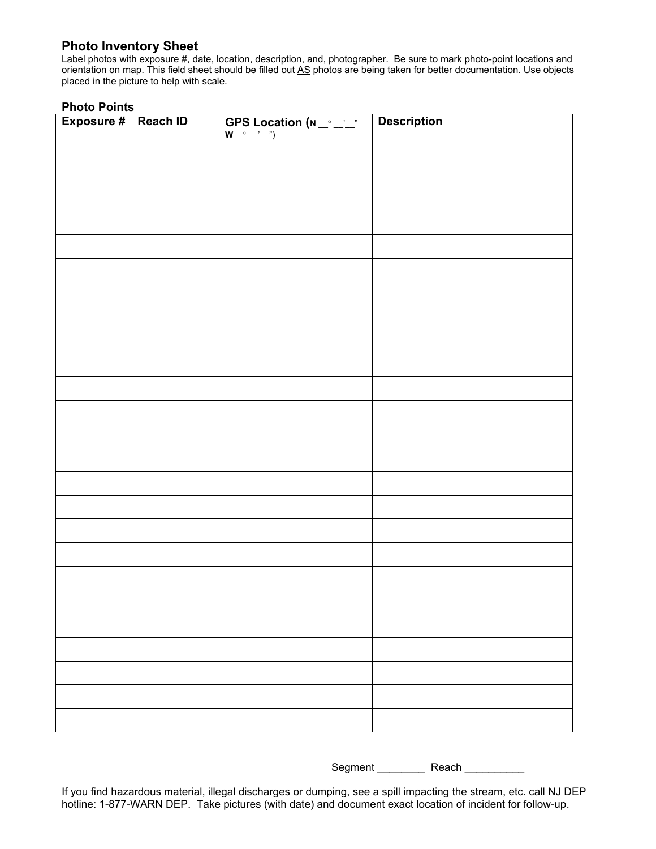#### **Photo Inventory Sheet**

Label photos with exposure #, date, location, description, and, photographer. Be sure to mark photo-point locations and orientation on map. This field sheet should be filled out AS photos are being taken for better documentation. Use objects placed in the picture to help with scale.

#### **Photo Points**

| Exposure #   Reach ID | GPS Location $(N_-\)_$ " | <b>Description</b> |
|-----------------------|--------------------------|--------------------|
|                       |                          |                    |
|                       |                          |                    |
|                       |                          |                    |
|                       |                          |                    |
|                       |                          |                    |
|                       |                          |                    |
|                       |                          |                    |
|                       |                          |                    |
|                       |                          |                    |
|                       |                          |                    |
|                       |                          |                    |
|                       |                          |                    |
|                       |                          |                    |
|                       |                          |                    |
|                       |                          |                    |
|                       |                          |                    |
|                       |                          |                    |
|                       |                          |                    |
|                       |                          |                    |
|                       |                          |                    |
|                       |                          |                    |
|                       |                          |                    |
|                       |                          |                    |
|                       |                          |                    |
|                       |                          |                    |

Segment Reach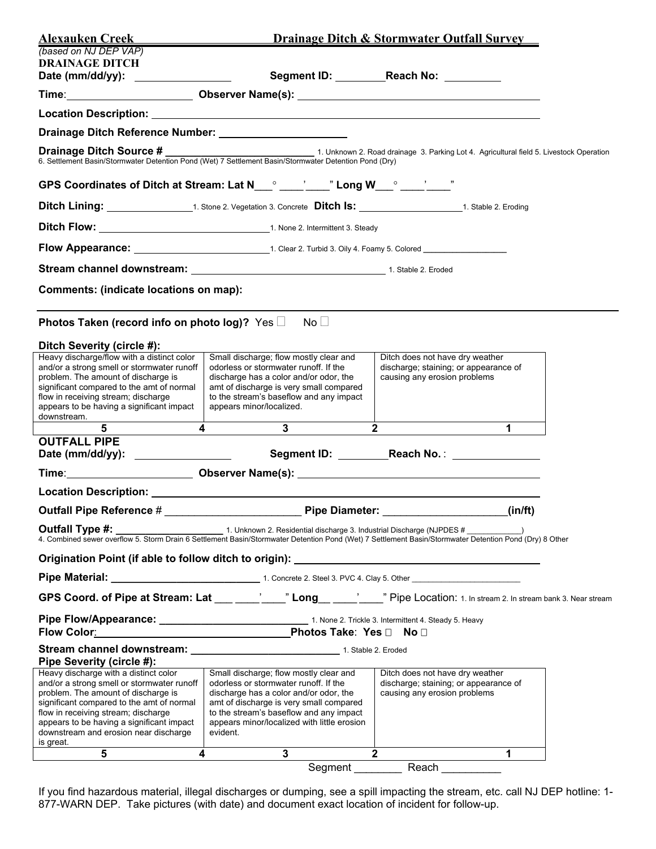| Alexauken Creek<br>(based on NJ DEP VAP)                                                                                                                                                                                                                                                                          |                                                                                                                                                                                                                                                                            | <b>Drainage Ditch &amp; Stormwater Outfall Survey</b>                                                    |  |
|-------------------------------------------------------------------------------------------------------------------------------------------------------------------------------------------------------------------------------------------------------------------------------------------------------------------|----------------------------------------------------------------------------------------------------------------------------------------------------------------------------------------------------------------------------------------------------------------------------|----------------------------------------------------------------------------------------------------------|--|
| <b>DRAINAGE DITCH</b><br>Date (mm/dd/yy): __________________                                                                                                                                                                                                                                                      |                                                                                                                                                                                                                                                                            | Segment ID: Reach No: _______                                                                            |  |
|                                                                                                                                                                                                                                                                                                                   |                                                                                                                                                                                                                                                                            |                                                                                                          |  |
|                                                                                                                                                                                                                                                                                                                   |                                                                                                                                                                                                                                                                            |                                                                                                          |  |
|                                                                                                                                                                                                                                                                                                                   |                                                                                                                                                                                                                                                                            |                                                                                                          |  |
|                                                                                                                                                                                                                                                                                                                   | <b>Drainage Ditch Source #</b> 1. Unknown 2. Road drainage 3. Parking Lot 4. Agricultural field 5. Livestock Operation 6. Settlement Basin/Stormwater Detention Pond (Wet) 7 Settlement Basin/Stormwater Detention Pond (Dry)                                              |                                                                                                          |  |
|                                                                                                                                                                                                                                                                                                                   | GPS Coordinates of Ditch at Stream: Lat N___° ____'___" Long W___° ____'___"                                                                                                                                                                                               |                                                                                                          |  |
|                                                                                                                                                                                                                                                                                                                   |                                                                                                                                                                                                                                                                            |                                                                                                          |  |
|                                                                                                                                                                                                                                                                                                                   | Ditch Flow: 1. None 2. Intermittent 3. Steady                                                                                                                                                                                                                              |                                                                                                          |  |
|                                                                                                                                                                                                                                                                                                                   |                                                                                                                                                                                                                                                                            |                                                                                                          |  |
|                                                                                                                                                                                                                                                                                                                   |                                                                                                                                                                                                                                                                            |                                                                                                          |  |
| Comments: (indicate locations on map):                                                                                                                                                                                                                                                                            |                                                                                                                                                                                                                                                                            |                                                                                                          |  |
|                                                                                                                                                                                                                                                                                                                   |                                                                                                                                                                                                                                                                            |                                                                                                          |  |
| Photos Taken (record info on photo log)? Yes □                                                                                                                                                                                                                                                                    | $No$ $\Box$                                                                                                                                                                                                                                                                |                                                                                                          |  |
| Ditch Severity (circle #):<br>Heavy discharge/flow with a distinct color<br>and/or a strong smell or stormwater runoff<br>problem. The amount of discharge is<br>significant compared to the amt of normal<br>flow in receiving stream; discharge<br>appears to be having a significant impact<br>downstream.     | Small discharge; flow mostly clear and<br>odorless or stormwater runoff. If the<br>discharge has a color and/or odor, the<br>amt of discharge is very small compared<br>to the stream's baseflow and any impact<br>appears minor/localized.                                | Ditch does not have dry weather<br>discharge; staining; or appearance of<br>causing any erosion problems |  |
| $\overline{4}$<br>5                                                                                                                                                                                                                                                                                               | $\mathbf{3}$                                                                                                                                                                                                                                                               | $\overline{2}$<br>$\blacktriangleleft$                                                                   |  |
| <b>OUTFALL PIPE</b><br>Date (mm/dd/yy): _________________                                                                                                                                                                                                                                                         |                                                                                                                                                                                                                                                                            | Segment ID: Reach No.: 2008                                                                              |  |
|                                                                                                                                                                                                                                                                                                                   | Time: __________________________Observer Name(s): _______________________________                                                                                                                                                                                          |                                                                                                          |  |
|                                                                                                                                                                                                                                                                                                                   |                                                                                                                                                                                                                                                                            |                                                                                                          |  |
| Outfall Pipe Reference #                                                                                                                                                                                                                                                                                          | Pipe Diameter: _                                                                                                                                                                                                                                                           | (in/ft)                                                                                                  |  |
|                                                                                                                                                                                                                                                                                                                   |                                                                                                                                                                                                                                                                            |                                                                                                          |  |
|                                                                                                                                                                                                                                                                                                                   | Origination Point (if able to follow ditch to origin): __________________________                                                                                                                                                                                          |                                                                                                          |  |
|                                                                                                                                                                                                                                                                                                                   |                                                                                                                                                                                                                                                                            |                                                                                                          |  |
|                                                                                                                                                                                                                                                                                                                   | GPS Coord. of Pipe at Stream: Lat ___ ____'___" Long__ ___'___" Pipe Location: 1. In stream 2. In stream bank 3. Near stream                                                                                                                                               |                                                                                                          |  |
|                                                                                                                                                                                                                                                                                                                   |                                                                                                                                                                                                                                                                            |                                                                                                          |  |
| Pipe Severity (circle #):                                                                                                                                                                                                                                                                                         |                                                                                                                                                                                                                                                                            |                                                                                                          |  |
| Heavy discharge with a distinct color<br>and/or a strong smell or stormwater runoff<br>problem. The amount of discharge is<br>significant compared to the amt of normal<br>flow in receiving stream; discharge<br>appears to be having a significant impact<br>downstream and erosion near discharge<br>is great. | Small discharge; flow mostly clear and<br>odorless or stormwater runoff. If the<br>discharge has a color and/or odor, the<br>amt of discharge is very small compared<br>to the stream's baseflow and any impact<br>appears minor/localized with little erosion<br>evident. | Ditch does not have dry weather<br>discharge; staining; or appearance of<br>causing any erosion problems |  |
| $\overline{\mathbf{4}}$<br>5                                                                                                                                                                                                                                                                                      | $\mathbf{3}$                                                                                                                                                                                                                                                               | $\mathbf{2}$<br>$\mathbf 1$                                                                              |  |
|                                                                                                                                                                                                                                                                                                                   | Segment                                                                                                                                                                                                                                                                    | Reach                                                                                                    |  |